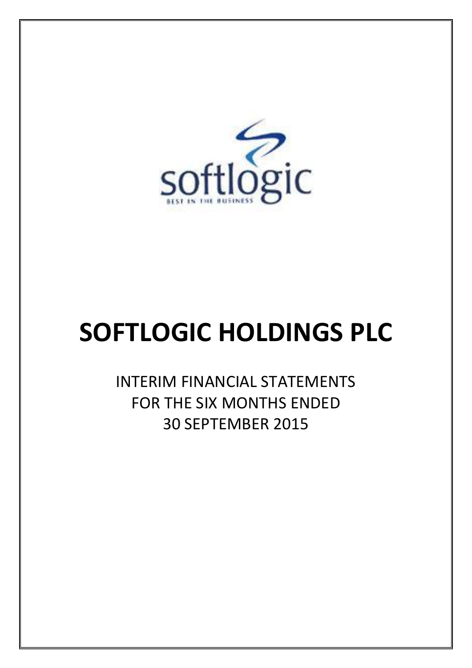

# **SOFTLOGIC HOLDINGS PLC**

INTERIM FINANCIAL STATEMENTS FOR THE SIX MONTHS ENDED 30 SEPTEMBER 2015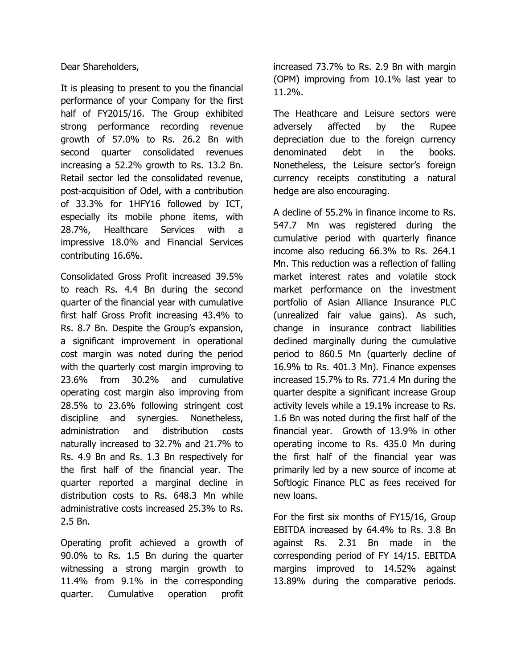Dear Shareholders,

It is pleasing to present to you the financial performance of your Company for the first half of FY2015/16. The Group exhibited strong performance recording revenue growth of 57.0% to Rs. 26.2 Bn with second quarter consolidated revenues increasing a 52.2% growth to Rs. 13.2 Bn. Retail sector led the consolidated revenue, post-acquisition of Odel, with a contribution of 33.3% for 1HFY16 followed by ICT, especially its mobile phone items, with 28.7%, Healthcare Services with a impressive 18.0% and Financial Services contributing 16.6%.

Consolidated Gross Profit increased 39.5% to reach Rs. 4.4 Bn during the second quarter of the financial year with cumulative first half Gross Profit increasing 43.4% to Rs. 8.7 Bn. Despite the Group's expansion, a significant improvement in operational cost margin was noted during the period with the quarterly cost margin improving to 23.6% from 30.2% and cumulative operating cost margin also improving from 28.5% to 23.6% following stringent cost discipline and synergies. Nonetheless, administration and distribution costs naturally increased to 32.7% and 21.7% to Rs. 4.9 Bn and Rs. 1.3 Bn respectively for the first half of the financial year. The quarter reported a marginal decline in distribution costs to Rs. 648.3 Mn while administrative costs increased 25.3% to Rs. 2.5 Bn.

Operating profit achieved a growth of 90.0% to Rs. 1.5 Bn during the quarter witnessing a strong margin growth to 11.4% from 9.1% in the corresponding quarter. Cumulative operation profit

increased 73.7% to Rs. 2.9 Bn with margin (OPM) improving from 10.1% last year to 11.2%.

The Heathcare and Leisure sectors were adversely affected by the Rupee depreciation due to the foreign currency denominated debt in the books. Nonetheless, the Leisure sector's foreign currency receipts constituting a natural hedge are also encouraging.

A decline of 55.2% in finance income to Rs. 547.7 Mn was registered during the cumulative period with quarterly finance income also reducing 66.3% to Rs. 264.1 Mn. This reduction was a reflection of falling market interest rates and volatile stock market performance on the investment portfolio of Asian Alliance Insurance PLC (unrealized fair value gains). As such, change in insurance contract liabilities declined marginally during the cumulative period to 860.5 Mn (quarterly decline of 16.9% to Rs. 401.3 Mn). Finance expenses increased 15.7% to Rs. 771.4 Mn during the quarter despite a significant increase Group activity levels while a 19.1% increase to Rs. 1.6 Bn was noted during the first half of the financial year. Growth of 13.9% in other operating income to Rs. 435.0 Mn during the first half of the financial year was primarily led by a new source of income at Softlogic Finance PLC as fees received for new loans.

For the first six months of FY15/16, Group EBITDA increased by 64.4% to Rs. 3.8 Bn against Rs. 2.31 Bn made in the corresponding period of FY 14/15. EBITDA margins improved to 14.52% against 13.89% during the comparative periods.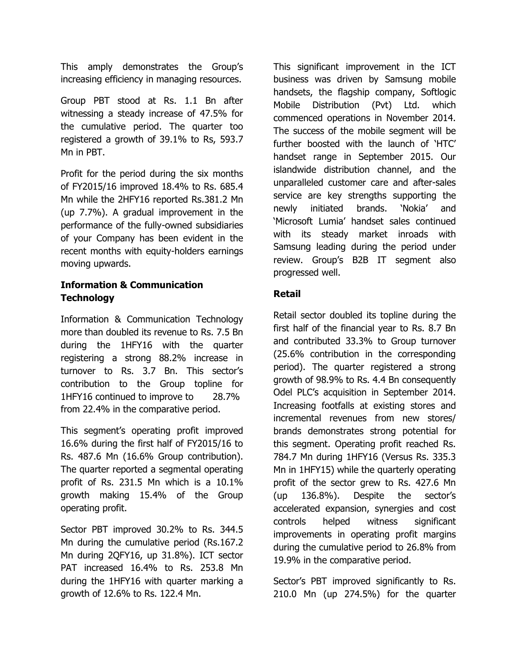This amply demonstrates the Group's increasing efficiency in managing resources.

Group PBT stood at Rs. 1.1 Bn after witnessing a steady increase of 47.5% for the cumulative period. The quarter too registered a growth of 39.1% to Rs, 593.7 Mn in PBT.

Profit for the period during the six months of FY2015/16 improved 18.4% to Rs. 685.4 Mn while the 2HFY16 reported Rs.381.2 Mn (up 7.7%). A gradual improvement in the performance of the fully-owned subsidiaries of your Company has been evident in the recent months with equity-holders earnings moving upwards.

### **Information & Communication Technology**

Information & Communication Technology more than doubled its revenue to Rs. 7.5 Bn during the 1HFY16 with the quarter registering a strong 88.2% increase in turnover to Rs. 3.7 Bn. This sector's contribution to the Group topline for 1HFY16 continued to improve to 28.7% from 22.4% in the comparative period.

This segment's operating profit improved 16.6% during the first half of FY2015/16 to Rs. 487.6 Mn (16.6% Group contribution). The quarter reported a segmental operating profit of Rs. 231.5 Mn which is a 10.1% growth making 15.4% of the Group operating profit.

Sector PBT improved 30.2% to Rs. 344.5 Mn during the cumulative period (Rs.167.2 Mn during 2QFY16, up 31.8%). ICT sector PAT increased 16.4% to Rs. 253.8 Mn during the 1HFY16 with quarter marking a growth of 12.6% to Rs. 122.4 Mn.

This significant improvement in the ICT business was driven by Samsung mobile handsets, the flagship company, Softlogic Mobile Distribution (Pvt) Ltd. which commenced operations in November 2014. The success of the mobile segment will be further boosted with the launch of 'HTC' handset range in September 2015. Our islandwide distribution channel, and the unparalleled customer care and after-sales service are key strengths supporting the newly initiated brands. 'Nokia' and 'Microsoft Lumia' handset sales continued with its steady market inroads with Samsung leading during the period under review. Group's B2B IT segment also progressed well.

### **Retail**

Retail sector doubled its topline during the first half of the financial year to Rs. 8.7 Bn and contributed 33.3% to Group turnover (25.6% contribution in the corresponding period). The quarter registered a strong growth of 98.9% to Rs. 4.4 Bn consequently Odel PLC's acquisition in September 2014. Increasing footfalls at existing stores and incremental revenues from new stores/ brands demonstrates strong potential for this segment. Operating profit reached Rs. 784.7 Mn during 1HFY16 (Versus Rs. 335.3 Mn in 1HFY15) while the quarterly operating profit of the sector grew to Rs. 427.6 Mn (up 136.8%). Despite the sector's accelerated expansion, synergies and cost controls helped witness significant improvements in operating profit margins during the cumulative period to 26.8% from 19.9% in the comparative period.

Sector's PBT improved significantly to Rs. 210.0 Mn (up 274.5%) for the quarter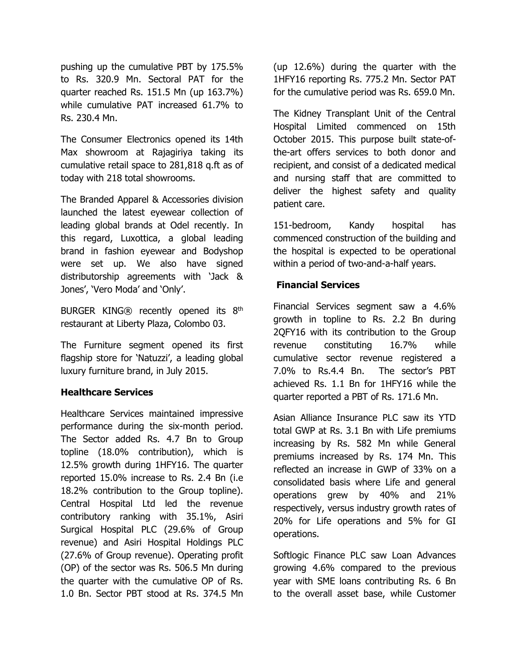pushing up the cumulative PBT by 175.5% to Rs. 320.9 Mn. Sectoral PAT for the quarter reached Rs. 151.5 Mn (up 163.7%) while cumulative PAT increased 61.7% to Rs. 230.4 Mn.

The Consumer Electronics opened its 14th Max showroom at Rajagiriya taking its cumulative retail space to 281,818 q.ft as of today with 218 total showrooms.

The Branded Apparel & Accessories division launched the latest eyewear collection of leading global brands at Odel recently. In this regard, Luxottica, a global leading brand in fashion eyewear and Bodyshop were set up. We also have signed distributorship agreements with 'Jack & Jones', 'Vero Moda' and 'Only'.

BURGER KING® recently opened its 8th restaurant at Liberty Plaza, Colombo 03.

The Furniture segment opened its first flagship store for 'Natuzzi', a leading global luxury furniture brand, in July 2015.

#### **Healthcare Services**

Healthcare Services maintained impressive performance during the six-month period. The Sector added Rs. 4.7 Bn to Group topline (18.0% contribution), which is 12.5% growth during 1HFY16. The quarter reported 15.0% increase to Rs. 2.4 Bn (i.e 18.2% contribution to the Group topline). Central Hospital Ltd led the revenue contributory ranking with 35.1%, Asiri Surgical Hospital PLC (29.6% of Group revenue) and Asiri Hospital Holdings PLC (27.6% of Group revenue). Operating profit (OP) of the sector was Rs. 506.5 Mn during the quarter with the cumulative OP of Rs. 1.0 Bn. Sector PBT stood at Rs. 374.5 Mn

(up 12.6%) during the quarter with the 1HFY16 reporting Rs. 775.2 Mn. Sector PAT for the cumulative period was Rs. 659.0 Mn.

The Kidney Transplant Unit of the Central Hospital Limited commenced on 15th October 2015. This purpose built state-ofthe-art offers services to both donor and recipient, and consist of a dedicated medical and nursing staff that are committed to deliver the highest safety and quality patient care.

151-bedroom, Kandy hospital has commenced construction of the building and the hospital is expected to be operational within a period of two-and-a-half years.

### **Financial Services**

Financial Services segment saw a 4.6% growth in topline to Rs. 2.2 Bn during 2QFY16 with its contribution to the Group revenue constituting 16.7% while cumulative sector revenue registered a 7.0% to Rs.4.4 Bn. The sector's PBT achieved Rs. 1.1 Bn for 1HFY16 while the quarter reported a PBT of Rs. 171.6 Mn.

Asian Alliance Insurance PLC saw its YTD total GWP at Rs. 3.1 Bn with Life premiums increasing by Rs. 582 Mn while General premiums increased by Rs. 174 Mn. This reflected an increase in GWP of 33% on a consolidated basis where Life and general operations grew by 40% and 21% respectively, versus industry growth rates of 20% for Life operations and 5% for GI operations.

Softlogic Finance PLC saw Loan Advances growing 4.6% compared to the previous year with SME loans contributing Rs. 6 Bn to the overall asset base, while Customer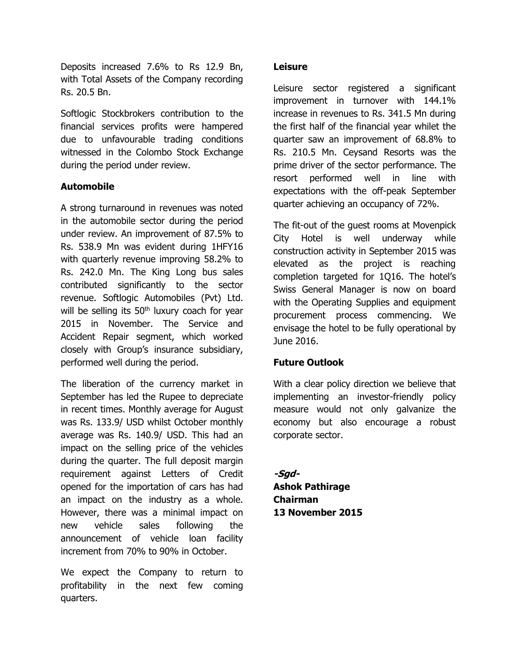Deposits increased 7.6% to Rs 12.9 Bn, with Total Assets of the Company recording Rs. 20.5 Bn.

Softlogic Stockbrokers contribution to the financial services profits were hampered due to unfavourable trading conditions witnessed in the Colombo Stock Exchange during the period under review.

### **Automobile**

A strong turnaround in revenues was noted in the automobile sector during the period under review. An improvement of 87.5% to Rs. 538.9 Mn was evident during 1HFY16 with quarterly revenue improving 58.2% to Rs. 242.0 Mn. The King Long bus sales contributed significantly to the sector revenue. Softlogic Automobiles (Pvt) Ltd. will be selling its  $50<sup>th</sup>$  luxury coach for year 2015 in November. The Service and Accident Repair segment, which worked closely with Group's insurance subsidiary, performed well during the period.

The liberation of the currency market in September has led the Rupee to depreciate in recent times. Monthly average for August was Rs. 133.9/ USD whilst October monthly average was Rs. 140.9/ USD. This had an impact on the selling price of the vehicles during the quarter. The full deposit margin requirement against Letters of Credit opened for the importation of cars has had an impact on the industry as a whole. However, there was a minimal impact on new vehicle sales following the announcement of vehicle loan facility increment from 70% to 90% in October.

We expect the Company to return to profitability in the next few coming quarters.

#### **Leisure**

Leisure sector registered a significant improvement in turnover with 144.1% increase in revenues to Rs. 341.5 Mn during the first half of the financial year whilet the quarter saw an improvement of 68.8% to Rs. 210.5 Mn. Ceysand Resorts was the prime driver of the sector performance. The resort performed well in line with expectations with the off-peak September quarter achieving an occupancy of 72%.

The fit-out of the guest rooms at Movenpick City Hotel is well underway while construction activity in September 2015 was elevated as the project is reaching completion targeted for 1Q16. The hotel's Swiss General Manager is now on board with the Operating Supplies and equipment procurement process commencing. We envisage the hotel to be fully operational by June 2016.

#### **Future Outlook**

With a clear policy direction we believe that implementing an investor-friendly policy measure would not only galvanize the economy but also encourage a robust corporate sector.

**-Sgd-Ashok Pathirage Chairman 13 November 2015**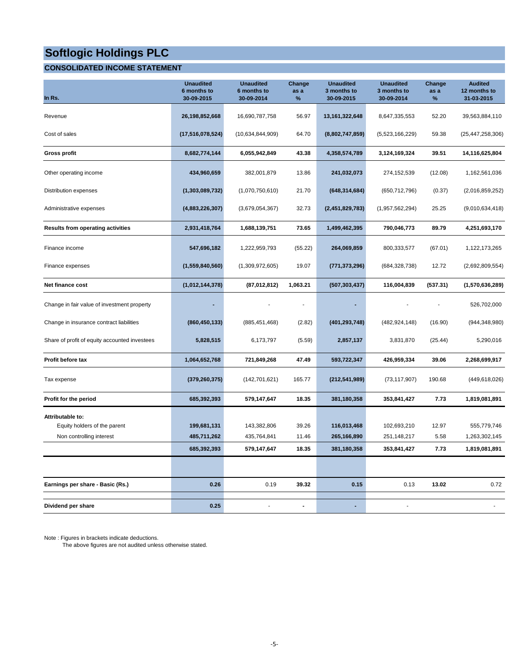### **CONSOLIDATED INCOME STATEMENT**

| In Rs.                                           | <b>Unaudited</b><br>6 months to<br>30-09-2015 | <b>Unaudited</b><br>6 months to<br>30-09-2014 | Change<br>as a<br>% | <b>Unaudited</b><br>3 months to<br>30-09-2015 | <b>Unaudited</b><br>3 months to<br>30-09-2014 | Change<br>as a<br>% | <b>Audited</b><br>12 months to<br>31-03-2015 |
|--------------------------------------------------|-----------------------------------------------|-----------------------------------------------|---------------------|-----------------------------------------------|-----------------------------------------------|---------------------|----------------------------------------------|
| Revenue                                          | 26,198,852,668                                | 16,690,787,758                                | 56.97               | 13, 161, 322, 648                             | 8,647,335,553                                 | 52.20               | 39,563,884,110                               |
| Cost of sales                                    | (17, 516, 078, 524)                           | (10,634,844,909)                              | 64.70               | (8,802,747,859)                               | (5,523,166,229)                               | 59.38               | (25, 447, 258, 306)                          |
| <b>Gross profit</b>                              | 8,682,774,144                                 | 6,055,942,849                                 | 43.38               | 4,358,574,789                                 | 3,124,169,324                                 | 39.51               | 14,116,625,804                               |
| Other operating income                           | 434,960,659                                   | 382,001,879                                   | 13.86               | 241,032,073                                   | 274,152,539                                   | (12.08)             | 1,162,561,036                                |
| Distribution expenses                            | (1,303,089,732)                               | (1,070,750,610)                               | 21.70               | (648, 314, 684)                               | (650, 712, 796)                               | (0.37)              | (2,016,859,252)                              |
| Administrative expenses                          | (4,883,226,307)                               | (3,679,054,367)                               | 32.73               | (2,451,829,783)                               | (1,957,562,294)                               | 25.25               | (9,010,634,418)                              |
| <b>Results from operating activities</b>         | 2,931,418,764                                 | 1,688,139,751                                 | 73.65               | 1,499,462,395                                 | 790,046,773                                   | 89.79               | 4,251,693,170                                |
| Finance income                                   | 547,696,182                                   | 1,222,959,793                                 | (55.22)             | 264,069,859                                   | 800,333,577                                   | (67.01)             | 1,122,173,265                                |
| Finance expenses                                 | (1,559,840,560)                               | (1,309,972,605)                               | 19.07               | (771,373,296)                                 | (684, 328, 738)                               | 12.72               | (2,692,809,554)                              |
| Net finance cost                                 | (1,012,144,378)                               | (87,012,812)                                  | 1,063.21            | (507, 303, 437)                               | 116,004,839                                   | (537.31)            | (1,570,636,289)                              |
| Change in fair value of investment property      |                                               |                                               |                     |                                               |                                               |                     | 526,702,000                                  |
| Change in insurance contract liabilities         | (860, 450, 133)                               | (885, 451, 468)                               | (2.82)              | (401, 293, 748)                               | (482, 924, 148)                               | (16.90)             | (944, 348, 980)                              |
| Share of profit of equity accounted investees    | 5,828,515                                     | 6,173,797                                     | (5.59)              | 2,857,137                                     | 3,831,870                                     | (25.44)             | 5,290,016                                    |
| Profit before tax                                | 1,064,652,768                                 | 721,849,268                                   | 47.49               | 593,722,347                                   | 426,959,334                                   | 39.06               | 2,268,699,917                                |
| Tax expense                                      | (379, 260, 375)                               | (142, 701, 621)                               | 165.77              | (212, 541, 989)                               | (73, 117, 907)                                | 190.68              | (449, 618, 026)                              |
| Profit for the period                            | 685,392,393                                   | 579,147,647                                   | 18.35               | 381,180,358                                   | 353,841,427                                   | 7.73                | 1,819,081,891                                |
| Attributable to:<br>Equity holders of the parent | 199,681,131                                   | 143,382,806                                   | 39.26               | 116,013,468                                   | 102,693,210                                   | 12.97               | 555,779,746                                  |
| Non controlling interest                         | 485,711,262                                   | 435,764,841                                   | 11.46               | 265,166,890                                   | 251,148,217                                   | 5.58                | 1,263,302,145                                |
|                                                  | 685,392,393                                   | 579,147,647                                   | 18.35               | 381,180,358                                   | 353,841,427                                   | 7.73                | 1,819,081,891                                |
|                                                  |                                               |                                               |                     |                                               |                                               |                     |                                              |
| Earnings per share - Basic (Rs.)                 | 0.26                                          | 0.19                                          | 39.32               | 0.15                                          | 0.13                                          | 13.02               | 0.72                                         |
| Dividend per share                               | 0.25                                          |                                               | $\blacksquare$      | ٠                                             | $\sim$                                        |                     |                                              |

Note : Figures in brackets indicate deductions.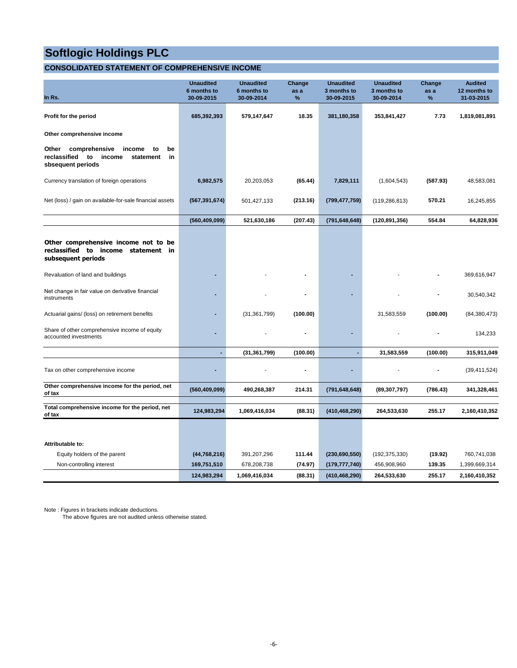### **CONSOLIDATED STATEMENT OF COMPREHENSIVE INCOME**

| In Rs.                                                                                                               | <b>Unaudited</b><br>6 months to<br>30-09-2015 | <b>Unaudited</b><br>6 months to<br>30-09-2014 | Change<br>as a<br>% | <b>Unaudited</b><br>3 months to<br>30-09-2015 | <b>Unaudited</b><br>3 months to<br>30-09-2014 | Change<br>as a<br>% | <b>Audited</b><br>12 months to<br>31-03-2015 |
|----------------------------------------------------------------------------------------------------------------------|-----------------------------------------------|-----------------------------------------------|---------------------|-----------------------------------------------|-----------------------------------------------|---------------------|----------------------------------------------|
| Profit for the period                                                                                                | 685,392,393                                   | 579,147,647                                   | 18.35               | 381,180,358                                   | 353,841,427                                   | 7.73                | 1,819,081,891                                |
| Other comprehensive income                                                                                           |                                               |                                               |                     |                                               |                                               |                     |                                              |
| comprehensive<br>Other<br>income<br>to<br>be<br>reclassified<br>to<br>income<br>statement<br>in<br>sbsequent periods |                                               |                                               |                     |                                               |                                               |                     |                                              |
| Currency translation of foreign operations                                                                           | 6,982,575                                     | 20,203,053                                    | (65.44)             | 7,829,111                                     | (1,604,543)                                   | (587.93)            | 48,583,081                                   |
| Net (loss) / gain on available-for-sale financial assets                                                             | (567, 391, 674)                               | 501,427,133                                   | (213.16)            | (799, 477, 759)                               | (119, 286, 813)                               | 570.21              | 16,245,855                                   |
|                                                                                                                      | (560, 409, 099)                               | 521,630,186                                   | (207.43)            | (791, 648, 648)                               | (120, 891, 356)                               | 554.84              | 64,828,936                                   |
| Other comprehensive income not to be<br>reclassified to income statement in<br>subsequent periods                    |                                               |                                               |                     |                                               |                                               |                     |                                              |
| Revaluation of land and buildings                                                                                    |                                               |                                               |                     |                                               |                                               |                     | 369,616,947                                  |
| Net change in fair value on derivative financial<br>instruments                                                      |                                               |                                               |                     |                                               |                                               |                     | 30,540,342                                   |
| Actuarial gains/ (loss) on retirement benefits                                                                       |                                               | (31, 361, 799)                                | (100.00)            |                                               | 31,583,559                                    | (100.00)            | (84, 380, 473)                               |
| Share of other comprehensive income of equity<br>accounted investments                                               | $\blacksquare$                                |                                               |                     |                                               |                                               |                     | 134,233                                      |
|                                                                                                                      | $\overline{a}$                                | (31, 361, 799)                                | (100.00)            |                                               | 31,583,559                                    | (100.00)            | 315,911,049                                  |
| Tax on other comprehensive income                                                                                    |                                               |                                               |                     |                                               |                                               |                     | (39, 411, 524)                               |
| Other comprehensive income for the period, net<br>of tax                                                             | (560, 409, 099)                               | 490,268,387                                   | 214.31              | (791, 648, 648)                               | (89, 307, 797)                                | (786.43)            | 341,328,461                                  |
| Total comprehensive income for the period, net<br>of tax                                                             | 124,983,294                                   | 1,069,416,034                                 | (88.31)             | (410, 468, 290)                               | 264,533,630                                   | 255.17              | 2,160,410,352                                |
|                                                                                                                      |                                               |                                               |                     |                                               |                                               |                     |                                              |
| Attributable to:                                                                                                     |                                               |                                               |                     |                                               |                                               |                     |                                              |
| Equity holders of the parent                                                                                         | (44, 768, 216)                                | 391,207,296                                   | 111.44              | (230, 690, 550)                               | (192, 375, 330)                               | (19.92)             | 760,741,038                                  |
| Non-controlling interest                                                                                             | 169,751,510                                   | 678,208,738                                   | (74.97)             | (179, 777, 740)                               | 456,908,960                                   | 139.35              | 1,399,669,314                                |
|                                                                                                                      | 124,983,294                                   | 1,069,416,034                                 | (88.31)             | (410, 468, 290)                               | 264,533,630                                   | 255.17              | 2,160,410,352                                |

Note : Figures in brackets indicate deductions.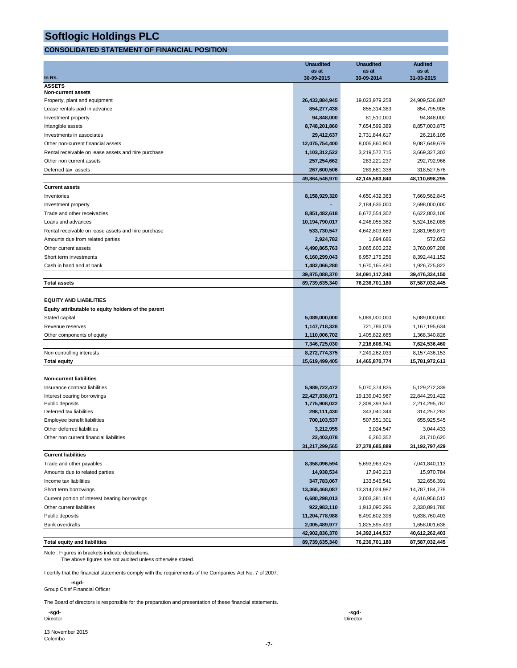#### **CONSOLIDATED STATEMENT OF FINANCIAL POSITION**

|                                                     | <b>Unaudited</b>                 | <b>Unaudited</b>                | <b>Audited</b>                  |
|-----------------------------------------------------|----------------------------------|---------------------------------|---------------------------------|
| In Rs.                                              | as at<br>30-09-2015              | as at<br>30-09-2014             | as at<br>31-03-2015             |
| <b>ASSETS</b>                                       |                                  |                                 |                                 |
| Non-current assets                                  |                                  |                                 |                                 |
| Property, plant and equipment                       | 26,433,884,945                   | 19,023,979,258                  | 24,909,536,887                  |
| Lease rentals paid in advance                       | 854,277,438                      | 855,314,383                     | 854,795,905                     |
| Investment property                                 | 94,848,000                       | 81,510,000                      | 94,848,000                      |
| Intangible assets                                   | 8,748,201,860                    | 7,654,599,389                   | 8,857,003,875                   |
| Investments in associates                           | 29,412,637                       | 2,731,844,617                   | 26,216,105                      |
| Other non-current financial assets                  | 12,075,754,400                   | 8,005,860,903                   | 9,087,649,679                   |
| Rental receivable on lease assets and hire purchase | 1,103,312,522                    | 3,219,572,715                   | 3,669,327,302                   |
| Other non current assets                            | 257,254,662                      | 283,221,237                     | 292,792,966                     |
| Deferred tax assets                                 | 267,600,506                      | 289,681,338                     | 318,527,576                     |
|                                                     | 49,864,546,970                   | 42,145,583,840                  | 48,110,698,295                  |
| <b>Current assets</b>                               |                                  |                                 |                                 |
| Inventories                                         | 8,158,929,320                    | 4,650,432,363                   | 7,669,562,845                   |
| Investment property                                 |                                  | 2,184,636,000                   | 2,698,000,000                   |
| Trade and other receivables                         | 8,851,482,618                    | 6,672,554,302                   | 6,622,803,106                   |
| Loans and advances                                  | 10,194,790,017                   | 4,246,055,362                   | 5,524,162,085                   |
| Rental receivable on lease assets and hire purchase | 533,730,547                      | 4,642,803,659                   | 2,881,969,879                   |
| Amounts due from related parties                    | 2,924,782                        | 1,694,686                       | 572,053                         |
| Other current assets                                | 4,490,865,763                    | 3,065,600,232                   | 3,760,097,208                   |
| Short term investments                              | 6,160,299,043                    | 6,957,175,256                   | 8,392,441,152                   |
| Cash in hand and at bank                            | 1,482,066,280                    | 1,670,165,480                   | 1,926,725,822                   |
|                                                     | 39,875,088,370                   | 34,091,117,340                  | 39,476,334,150                  |
| <b>Total assets</b>                                 | 89,739,635,340                   | 76,236,701,180                  | 87,587,032,445                  |
|                                                     |                                  |                                 |                                 |
| <b>EQUITY AND LIABILITIES</b>                       |                                  |                                 |                                 |
| Equity attributable to equity holders of the parent |                                  |                                 |                                 |
| Stated capital                                      | 5,089,000,000                    | 5,089,000,000                   | 5,089,000,000                   |
| Revenue reserves                                    | 1,147,718,328                    | 721,786,076                     | 1,167,195,634                   |
| Other components of equity                          | 1,110,006,702                    | 1,405,822,665                   | 1,368,340,826                   |
|                                                     | 7,346,725,030                    | 7,216,608,741                   | 7,624,536,460                   |
| Non controlling interests                           | 8,272,774,375                    | 7,249,262,033                   | 8, 157, 436, 153                |
| <b>Total equity</b>                                 | 15,619,499,405                   | 14,465,870,774                  | 15,781,972,613                  |
|                                                     |                                  |                                 |                                 |
| <b>Non-current liabilities</b>                      |                                  |                                 |                                 |
| Insurance contract liabilities                      | 5,989,722,472                    | 5,070,374,825                   | 5,129,272,339                   |
| Interest bearing borrowings                         | 22,427,838,071                   | 19,139,040,967                  | 22,844,291,422                  |
| Public deposits                                     | 1,775,908,022                    | 2,309,393,553                   | 2,214,295,787                   |
| Deferred tax liabilities                            | 298,111,430                      | 343,040,344                     | 314,257,283                     |
| Employee benefit liabilities                        | 700,103,537                      | 507,551,301                     | 655,925,545                     |
| Other deferred liabilities                          | 3,212,955                        | 3,024,547                       | 3,044,433                       |
| Other non current financial liabilities             | 22,403,078                       | 6,260,352                       | 31,710,620                      |
|                                                     | 31,217,299,565                   | 27,378,685,889                  | 31,192,797,429                  |
| <b>Current liabilities</b>                          |                                  |                                 |                                 |
| Trade and other payables                            | 8,358,096,594                    | 5,693,963,425                   | 7,041,840,113                   |
| Amounts due to related parties                      | 14,938,534                       | 17,940,213                      | 15,970,784                      |
| Income tax liabilities                              | 347,783,067                      | 133,546,541                     | 322,656,391<br>14,787,184,778   |
| Short term borrowings                               | 13,368,468,087                   | 13,314,024,987                  |                                 |
| Current portion of interest bearing borrowings      | 6,680,298,013                    | 3,003,381,164                   | 4,616,956,512                   |
| Other current liabilities                           | 922,983,110                      | 1,913,090,296                   | 2,330,891,786                   |
| Public deposits                                     | 11,204,778,988                   | 8,490,602,398                   | 9,838,760,403                   |
| Bank overdrafts                                     | 2,005,489,977                    | 1,825,595,493<br>34,392,144,517 | 1,658,001,636<br>40,612,262,403 |
| <b>Total equity and liabilities</b>                 | 42,902,836,370<br>89,739,635,340 | 76,236,701,180                  | 87,587,032,445                  |
|                                                     |                                  |                                 |                                 |

Note : Figures in brackets indicate deductions. The above figures are not audited unless otherwise stated.

I certify that the financial statements comply with the requirements of the Companies Act No. 7 of 2007.

 **-sgd-**Group Chief Financial Officer

The Board of directors is responsible for the preparation and presentation of these financial statements.

 **-sgd- -sgd-**Director Director

13 November 2015 Colombo

-7-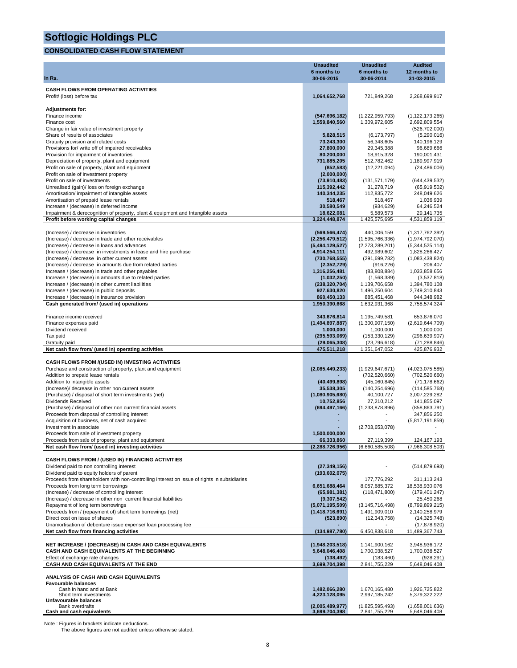#### **CONSOLIDATED CASH FLOW STATEMENT**

|                                                                                                                          | <b>Unaudited</b>                 | <b>Unaudited</b>                   | <b>Audited</b>                     |
|--------------------------------------------------------------------------------------------------------------------------|----------------------------------|------------------------------------|------------------------------------|
| In Rs.                                                                                                                   | 6 months to<br>30-06-2015        | 6 months to<br>30-06-2014          | 12 months to<br>31-03-2015         |
|                                                                                                                          |                                  |                                    |                                    |
| <b>CASH FLOWS FROM OPERATING ACTIVITIES</b>                                                                              |                                  |                                    |                                    |
| Profit/ (loss) before tax                                                                                                | 1,064,652,768                    | 721,849,268                        | 2,268,699,917                      |
| <b>Adjustments for:</b>                                                                                                  |                                  |                                    |                                    |
| Finance income                                                                                                           | (547, 696, 182)                  | (1,222,959,793)                    | (1, 122, 173, 265)                 |
| Finance cost                                                                                                             | 1,559,840,560                    | 1,309,972,605                      | 2,692,809,554                      |
| Change in fair value of investment property                                                                              |                                  |                                    | (526, 702, 000)                    |
| Share of results of associates<br>Gratuity provision and related costs                                                   | 5,828,515<br>73,243,300          | (6, 173, 797)<br>56,348,605        | (5,290,016)<br>140,196,129         |
| Provisions for/ write off of impaired receivables                                                                        | 27,800,000                       | 29,345,388                         | 96,689,666                         |
| Provision for impairment of inventories                                                                                  | 80,200,000                       | 18,915,328                         | 190,001,431                        |
| Depreciation of property, plant and equipment                                                                            | 731,885,205                      | 512,782,462                        | 1,189,997,919                      |
| Profit on sale of property, plant and equipment                                                                          | (852, 583)                       | (12, 221, 094)                     | (24, 486, 006)                     |
| Profit on sale of investment property<br>Profit on sale of investments                                                   | (2,000,000)<br>(73,910,483)      | (131, 571, 179)                    | (644, 439, 532)                    |
| Unrealised (gain)/ loss on foreign exchange                                                                              | 115,392,442                      | 31,278,719                         | (65, 919, 502)                     |
| Amortisation/ impairment of intangible assets                                                                            | 140,344,235                      | 112,835,772                        | 248,049,626                        |
| Amortisation of prepaid lease rentals                                                                                    | 518,467                          | 518,467                            | 1,036,939                          |
| Increase / (decrease) in deferred income                                                                                 | 30,580,549                       | (934, 629)                         | 64,246,524                         |
| Impairment & derecognition of property, plant & equipment and Intangible assets<br>Profit before working capital changes | 18,622,081<br>3,224,448,874      | 5,589,573<br>1,425,575,695         | 29,141,735<br>4,531,859,119        |
|                                                                                                                          |                                  |                                    |                                    |
| (Increase) / decrease in inventories                                                                                     | (569, 566, 474)                  | 440,006,159                        | (1,317,762,392)                    |
| (Increase) / decrease in trade and other receivables                                                                     | (2, 256, 479, 512)               | (1,595,766,336)                    | (1,974,792,070)                    |
| (Increase) / decrease in loans and advances                                                                              | (5,494,129,527)                  | (2,273,289,201)                    | (5,344,525,114)                    |
| (Increase) / decrease in investments in lease and hire purchase<br>(Increase) / decrease in other current assets         | 4,914,254,111<br>(730, 768, 555) | 492,989,602<br>(291, 699, 782)     | 1,828,266,427<br>(1,083,438,824)   |
| (Increase) / decrease in amounts due from related parties                                                                | (2,352,729)                      | (916, 226)                         | 206,407                            |
| Increase / (decrease) in trade and other payables                                                                        | 1,316,256,481                    | (83,808,884)                       | 1,033,858,656                      |
| Increase / (decrease) in amounts due to related parties                                                                  | (1,032,250)                      | (1,568,389)                        | (3,537,818)                        |
| Increase / (decrease) in other current liabilities                                                                       | (238, 320, 704)                  | 1,139,706,658                      | 1,394,780,108                      |
| Increase / (decrease) in public deposits<br>Increase / (decrease) in insurance provision                                 | 927,630,820<br>860,450,133       | 1,496,250,604<br>885,451,468       | 2,749,310,843<br>944,348,982       |
| Cash generated from/ (used in) operations                                                                                | 1,950,390,668                    | 1,632,931,368                      | 2,758,574,324                      |
|                                                                                                                          |                                  |                                    |                                    |
| Finance income received                                                                                                  | 343,676,814                      | 1,195,749,581                      | 653,876,070                        |
| Finance expenses paid                                                                                                    | (1,494,897,887)                  | (1,300,907,150)                    | (2,619,644,709)                    |
| Dividend received<br>Tax paid                                                                                            | 1,000,000<br>(295, 593, 069)     | 1,000,000<br>(153, 330, 129)       | 1,000,000<br>(296, 639, 907)       |
| Gratuity paid                                                                                                            | (29,065,308)                     | (23,796,618)                       | (71, 288, 846)                     |
| Net cash flow from/ (used in) operating activities                                                                       | 475,511,218                      | 1,351,647,052                      | 425,876,932                        |
|                                                                                                                          |                                  |                                    |                                    |
| <b>CASH FLOWS FROM /(USED IN) INVESTING ACTIVITIES</b>                                                                   |                                  |                                    |                                    |
| Purchase and construction of property, plant and equipment<br>Addition to prepaid lease rentals                          | (2,085,449,233)                  | (1,929,647,671)<br>(702, 520, 660) | (4,023,075,585)<br>(702, 520, 660) |
| Addition to intangible assets                                                                                            | (40, 499, 898)                   | (45,060,845)                       | (71, 178, 662)                     |
| (Increase)/ decrease in other non current assets                                                                         | 35,538,305                       | (140, 254, 696)                    | (114, 585, 768)                    |
| (Purchase) / disposal of short term investments (net)                                                                    | (1,080,905,680)                  | 40,100,727                         | 3,007,229,282                      |
| Dividends Received<br>(Purchase) / disposal of other non current financial assets                                        | 10,752,856<br>(694, 497, 166)    | 27,210,212<br>(1,233,878,896)      | 141,855,097                        |
|                                                                                                                          |                                  |                                    |                                    |
|                                                                                                                          |                                  |                                    | (858, 863, 791)                    |
| Proceeds from disposal of controlling interest<br>Acquisition of business, net of cash acquired                          |                                  |                                    | 347,856,250<br>(5,817,191,859)     |
| Investment in associate                                                                                                  |                                  | (2,703,653,078)                    |                                    |
| Proceeds from sale of investment property                                                                                | 1,500,000,000                    |                                    |                                    |
| Proceeds from sale of property, plant and equipment                                                                      | 66,333,860                       | 27.119.399                         | 124.167.193                        |
| Net cash flow from/ (used in) investing activities                                                                       | (2, 288, 726, 956)               | (6,660,585,508)                    | (7,966,308,503)                    |
| CASH FLOWS FROM / (USED IN) FINANCING ACTIVITIES                                                                         |                                  |                                    |                                    |
| Dividend paid to non controlling interest                                                                                | (27, 349, 156)                   |                                    | (514, 879, 693)                    |
| Dividend paid to equity holders of parent                                                                                | (193, 602, 075)                  |                                    |                                    |
| Proceeds from shareholders with non-controlling interest on issue of rights in subsidiaries                              |                                  | 177,776,292                        | 311,113,243                        |
| Proceeds from long term borrowings                                                                                       | 6,651,688,464                    | 8,057,685,372                      | 18,538,930,076                     |
| (Increase) / decrease of controlling interest<br>(Increase) / decrease in other non current financial liabilities        | (65,981,381)<br>(9,307,542)      | (118, 471, 800)                    | (179, 401, 247)<br>25,450,268      |
| Repayment of long term borrowings                                                                                        | (5,071,195,509)                  | (3, 145, 716, 498)                 | (8,799,899,215)                    |
| Proceeds from / (repayment of) short term borrowings (net)                                                               | (1,418,716,691)                  | 1,491,909,010                      | 2,140,258,979                      |
| Direct cost on issue of shares                                                                                           | (523, 890)                       | (12, 343, 758)                     | (14, 325, 748)                     |
| Unamortisation of debenture issue expense/ loan processing fee                                                           |                                  |                                    | (17, 878, 920)                     |
| Net cash flow from financing activities                                                                                  | (134, 987, 780)                  | 6,450,838,618                      | 11,489,367,743                     |
| NET INCREASE / (DECREASE) IN CASH AND CASH EQUIVALENTS                                                                   | (1,948,203,518)                  | 1,141,900,162                      | 3,948,936,172                      |
| CASH AND CASH EQUIVALENTS AT THE BEGINNING                                                                               | 5,648,046,408                    | 1,700,038,527                      | 1,700,038,527                      |
| Effect of exchange rate changes                                                                                          | (138, 492)                       | (183, 460)                         | (928, 291)                         |
| CASH AND CASH EQUIVALENTS AT THE END                                                                                     | 3,699,704,398                    | 2,841,755,229                      | 5,648,046,408                      |
| ANALYSIS OF CASH AND CASH EQUIVALENTS                                                                                    |                                  |                                    |                                    |
| <b>Favourable balances</b>                                                                                               |                                  |                                    |                                    |
| Cash in hand and at Bank                                                                                                 | 1,482,066,280                    | 1,670,165,480                      | 1,926,725,822                      |
| Short term investments<br>Unfavourable balances<br>Bank overdrafts                                                       | 4,223,128,095<br>(2,005,489,977) | 2,997,185,242<br>(1,825,595,493)   | 5,379,322,222<br>(1,658,001,636)   |

Note : Figures in brackets indicate deductions. The above figures are not audited unless otherwise stated.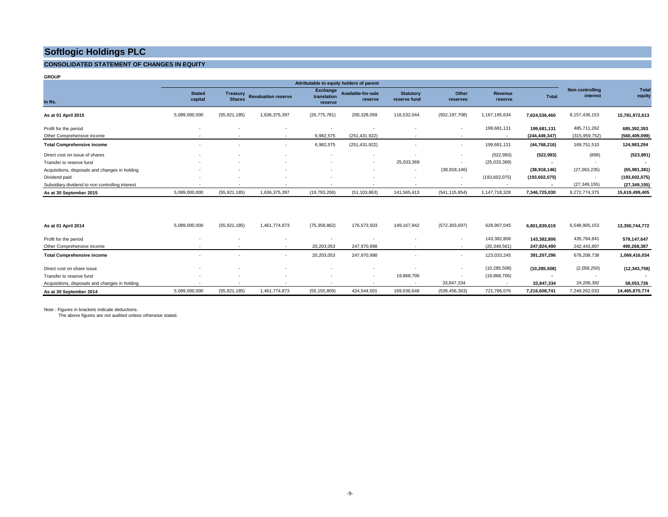#### **CONSOLIDATED STATEMENT OF CHANGES IN EQUITY**

| <b>GROUP</b>                                    |                          |                          |                            |                        |                                          |                          |                          |                 |                 |                             |                 |
|-------------------------------------------------|--------------------------|--------------------------|----------------------------|------------------------|------------------------------------------|--------------------------|--------------------------|-----------------|-----------------|-----------------------------|-----------------|
|                                                 |                          |                          |                            |                        | Attributable to equity holders of parent |                          |                          |                 |                 |                             |                 |
|                                                 | <b>Stated</b>            | <b>Treasury</b>          | <b>Revaluation reserve</b> | <b>Exchange</b>        | Available-for-sale                       | <b>Statutory</b>         | Other                    | <b>Revenue</b>  |                 | Non controlling<br>interest | Tota<br>equity  |
| In Rs.                                          | capital                  | <b>Shares</b>            |                            | translation<br>reserve | reserve                                  | reserve fund             | reserves                 | reserve         | <b>Total</b>    |                             |                 |
| As at 01 April 2015                             | 5,089,000,000            | (55, 921, 185)           | 1,636,375,397              | (26, 775, 781)         | 200,328,059                              | 116,532,044              | (502, 197, 708)          | 1,167,195,634   | 7,624,536,460   | 8, 157, 436, 153            | 15,781,972,613  |
| Profit for the period                           | $\overline{a}$           |                          |                            | ٠                      |                                          |                          | $\overline{\phantom{a}}$ | 199,681,131     | 199,681,131     | 485,711,262                 | 685,392,393     |
| Other Comprehensive income                      | $\overline{\phantom{a}}$ |                          |                            | 6,982,575              | (251, 431, 922)                          |                          | $\overline{\phantom{a}}$ | ۰.              | (244, 449, 347) | (315, 959, 752)             | (560, 409, 099) |
| <b>Total Comprehensive income</b>               | $\overline{\phantom{a}}$ |                          |                            | 6,982,575              | (251, 431, 922)                          |                          | ٠                        | 199,681,131     | (44, 768, 216)  | 169,751,510                 | 124,983,294     |
| Direct cost on issue of shares                  |                          |                          |                            | ٠                      | . .                                      |                          | $\sim$                   | (522, 993)      | (522, 993)      | (898)                       | (523, 891)      |
| Transfer to reserve fund                        |                          |                          |                            | ٠                      | $\overline{\phantom{a}}$                 | 25,033,369               | $\overline{\phantom{a}}$ | (25,033,369)    |                 |                             |                 |
| Acquisitions, disposals and changes in holding  |                          |                          |                            | ٠                      |                                          | $\overline{\phantom{a}}$ | (38, 918, 146)           | $\sim$          | (38,918,146)    | (27,063,235)                | (65,981,381)    |
| Dividend paid                                   |                          |                          |                            | ٠                      |                                          |                          | $\sim$                   | (193, 602, 075) | (193, 602, 075) |                             | (193, 602, 075) |
| Subsidiary dividend to non controlling interest | $\sim$                   | $\overline{\phantom{a}}$ |                            | ٠                      | $\overline{\phantom{a}}$                 | $\overline{\phantom{a}}$ | $\sim$                   | ٠               | $\blacksquare$  | (27, 349, 155)              | (27, 349, 155)  |
| As at 30 September 2015                         | 5,089,000,000            | (55, 921, 185)           | 1,636,375,397              | (19,793,206)           | (51, 103, 863)                           | 141,565,413              | (541, 115, 854)          | 1,147,718,328   | 7,346,725,030   | 8,272,774,375               | 15,619,499,405  |
|                                                 |                          |                          |                            |                        |                                          |                          |                          |                 |                 |                             |                 |
| As at 01 April 2014                             | 5,089,000,000            | (55, 921, 185)           | 1,461,774,873              | (75, 358, 862)         | 176,573,503                              | 149, 167, 942            | (572, 303, 697)          | 628,907,045     | 6,801,839,619   | 6,548,905,153               | 13,350,744,772  |
| Profit for the period                           |                          |                          |                            | ٠                      |                                          |                          | $\overline{\phantom{a}}$ | 143,382,806     | 143,382,806     | 435,764,841                 | 579,147,647     |
| Other Comprehensive income                      | $\sim$                   | $\sim$                   | <b>COL</b>                 | 20,203,053             | 247,970,998                              | $\overline{\phantom{a}}$ | $\sim$                   | (20, 349, 561)  | 247,824,490     | 242,443,897                 | 490,268,387     |
| <b>Total Comprehensive income</b>               |                          |                          |                            | 20,203,053             | 247,970,998                              |                          | $\sim$                   | 123,033,245     | 391,207,296     | 678,208,738                 | 1,069,416,034   |

Direct cost on share issue - - - - - - - (10,285,508) **(10,285,508)** (2,058,250) **(12,343,758)** Transfer to reserve fund - - - - - 19,868,706 - (19,868,706) **-** - **-**  Acquisitions, disposals and changes in holding - - - - - - 33,847,334 - **33,847,334** 24,206,392 **58,053,726 As at 30 September 2014** 5,089,000,000 (55,921,185) 1,461,774,873 (55,155,809) 424,544,501 169,036,648 (538,456,363) 721,786,076 **7,216,608,741** 7,249,262,033 **14,465,870,774** 

Note : Figures in brackets indicate deductions.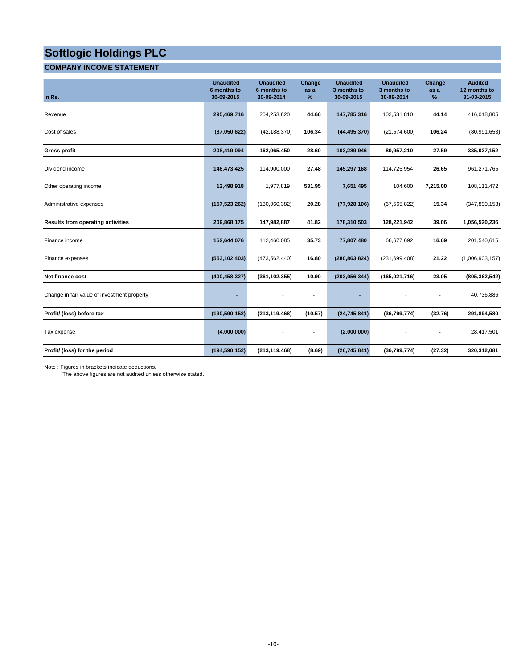### **COMPANY INCOME STATEMENT**

| In Rs.                                      | <b>Unaudited</b><br>6 months to<br>30-09-2015 | <b>Unaudited</b><br>6 months to<br>30-09-2014 | Change<br>as a<br>%          | <b>Unaudited</b><br>3 months to<br>30-09-2015 | <b>Unaudited</b><br>3 months to<br>30-09-2014 | Change<br>as a<br>% | <b>Audited</b><br>12 months to<br>31-03-2015 |
|---------------------------------------------|-----------------------------------------------|-----------------------------------------------|------------------------------|-----------------------------------------------|-----------------------------------------------|---------------------|----------------------------------------------|
| Revenue                                     | 295,469,716                                   | 204,253,820                                   | 44.66                        | 147,785,316                                   | 102,531,810                                   | 44.14               | 416,018,805                                  |
| Cost of sales                               | (87,050,622)                                  | (42, 188, 370)                                | 106.34                       | (44, 495, 370)                                | (21, 574, 600)                                | 106.24              | (80,991,653)                                 |
| <b>Gross profit</b>                         | 208,419,094                                   | 162,065,450                                   | 28.60                        | 103,289,946                                   | 80,957,210                                    | 27.59               | 335,027,152                                  |
| Dividend income                             | 146,473,425                                   | 114,900,000                                   | 27.48                        | 145,297,168                                   | 114,725,954                                   | 26.65               | 961,271,765                                  |
| Other operating income                      | 12,498,918                                    | 1,977,819                                     | 531.95                       | 7,651,495                                     | 104,600                                       | 7,215.00            | 108,111,472                                  |
| Administrative expenses                     | (157, 523, 262)                               | (130, 960, 382)                               | 20.28                        | (77, 928, 106)                                | (67, 565, 822)                                | 15.34               | (347, 890, 153)                              |
| <b>Results from operating activities</b>    | 209,868,175                                   | 147,982,887                                   | 41.82                        | 178,310,503                                   | 128,221,942                                   | 39.06               | 1,056,520,236                                |
| Finance income                              | 152,644,076                                   | 112,460,085                                   | 35.73                        | 77,807,480                                    | 66,677,692                                    | 16.69               | 201,540,615                                  |
| Finance expenses                            | (553, 102, 403)                               | (473, 562, 440)                               | 16.80                        | (280, 863, 824)                               | (231, 699, 408)                               | 21.22               | (1,006,903,157)                              |
| Net finance cost                            | (400, 458, 327)                               | (361, 102, 355)                               | 10.90                        | (203, 056, 344)                               | (165, 021, 716)                               | 23.05               | (805, 362, 542)                              |
| Change in fair value of investment property |                                               |                                               |                              |                                               |                                               |                     | 40,736,886                                   |
| Profit/ (loss) before tax                   | (190, 590, 152)                               | (213, 119, 468)                               | (10.57)                      | (24, 745, 841)                                | (36,799,774)                                  | (32.76)             | 291,894,580                                  |
| Tax expense                                 | (4,000,000)                                   |                                               | $\qquad \qquad \blacksquare$ | (2,000,000)                                   |                                               |                     | 28,417,501                                   |
| Profit/ (loss) for the period               | (194, 590, 152)                               | (213, 119, 468)                               | (8.69)                       | (26, 745, 841)                                | (36,799,774)                                  | (27.32)             | 320,312,081                                  |

Note : Figures in brackets indicate deductions.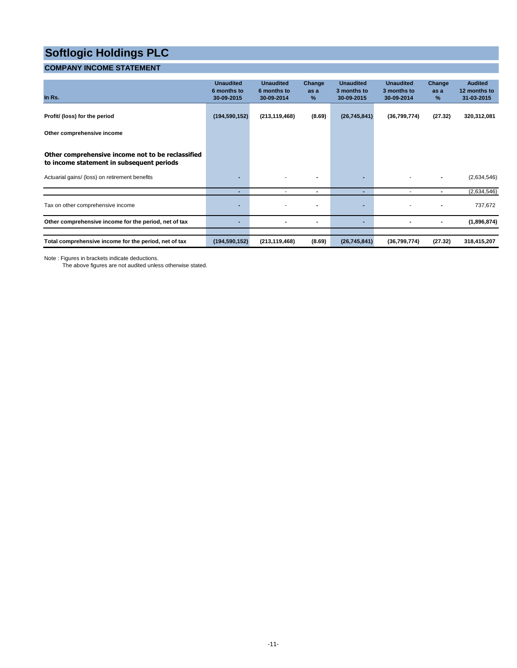### **COMPANY INCOME STATEMENT**

| In $Rs.$                                                                                       | <b>Unaudited</b><br>6 months to<br>30-09-2015 | <b>Unaudited</b><br>6 months to<br>30-09-2014 | Change<br>as a<br>% | <b>Unaudited</b><br>3 months to<br>30-09-2015 | <b>Unaudited</b><br>3 months to<br>30-09-2014 | Change<br>as a<br>%      | <b>Audited</b><br>12 months to<br>31-03-2015 |
|------------------------------------------------------------------------------------------------|-----------------------------------------------|-----------------------------------------------|---------------------|-----------------------------------------------|-----------------------------------------------|--------------------------|----------------------------------------------|
| Profit/ (loss) for the period                                                                  | (194, 590, 152)                               | (213, 119, 468)                               | (8.69)              | (26, 745, 841)                                | (36,799,774)                                  | (27.32)                  | 320,312,081                                  |
| Other comprehensive income                                                                     |                                               |                                               |                     |                                               |                                               |                          |                                              |
| Other comprehensive income not to be reclassified<br>to income statement in subsequent periods |                                               |                                               |                     |                                               |                                               |                          |                                              |
| Actuarial gains/ (loss) on retirement benefits                                                 |                                               |                                               |                     | $\blacksquare$                                |                                               |                          | (2,634,546)                                  |
|                                                                                                | ٠                                             | ٠                                             | ۰                   | ٠                                             |                                               | $\overline{\phantom{0}}$ | (2,634,546)                                  |
| Tax on other comprehensive income                                                              | $\overline{\phantom{a}}$                      |                                               |                     | $\blacksquare$                                |                                               |                          | 737,672                                      |
| Other comprehensive income for the period, net of tax                                          | $\blacksquare$                                |                                               |                     | ٠                                             |                                               |                          | (1,896,874)                                  |
| Total comprehensive income for the period, net of tax                                          | (194, 590, 152)                               | (213, 119, 468)                               | (8.69)              | (26, 745, 841)                                | (36,799,774)                                  | (27.32)                  | 318,415,207                                  |

Note : Figures in brackets indicate deductions.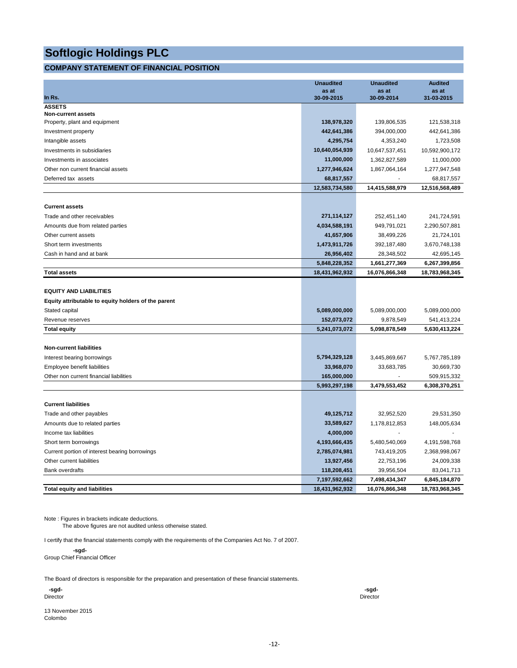#### **COMPANY STATEMENT OF FINANCIAL POSITION**

|                                                     | <b>Unaudited</b>    | <b>Unaudited</b>    | <b>Audited</b>      |
|-----------------------------------------------------|---------------------|---------------------|---------------------|
| In Rs.                                              | as at<br>30-09-2015 | as at<br>30-09-2014 | as at<br>31-03-2015 |
| <b>ASSETS</b>                                       |                     |                     |                     |
| <b>Non-current assets</b>                           |                     |                     |                     |
| Property, plant and equipment                       | 138,978,320         | 139,806,535         | 121,538,318         |
| Investment property                                 | 442,641,386         | 394,000,000         | 442,641,386         |
| Intangible assets                                   | 4,295,754           | 4,353,240           | 1,723,508           |
| Investments in subsidiaries                         | 10,640,054,939      | 10,647,537,451      | 10,592,900,172      |
| Investments in associates                           | 11,000,000          | 1,362,827,589       | 11,000,000          |
| Other non current financial assets                  | 1,277,946,624       | 1,867,064,164       | 1,277,947,548       |
| Deferred tax assets                                 | 68,817,557          |                     | 68,817,557          |
|                                                     | 12,583,734,580      | 14,415,588,979      | 12,516,568,489      |
| <b>Current assets</b>                               |                     |                     |                     |
| Trade and other receivables                         | 271,114,127         | 252,451,140         | 241,724,591         |
| Amounts due from related parties                    | 4,034,588,191       | 949,791,021         | 2,290,507,881       |
| Other current assets                                | 41,657,906          | 38,499,226          | 21,724,101          |
| Short term investments                              | 1,473,911,726       | 392,187,480         | 3,670,748,138       |
| Cash in hand and at bank                            | 26,956,402          | 28,348,502          | 42,695,145          |
|                                                     | 5,848,228,352       | 1,661,277,369       | 6,267,399,856       |
| <b>Total assets</b>                                 | 18,431,962,932      | 16,076,866,348      | 18,783,968,345      |
|                                                     |                     |                     |                     |
| <b>EQUITY AND LIABILITIES</b>                       |                     |                     |                     |
| Equity attributable to equity holders of the parent |                     |                     |                     |
| Stated capital                                      | 5,089,000,000       | 5,089,000,000       | 5,089,000,000       |
| Revenue reserves                                    | 152,073,072         | 9,878,549           | 541,413,224         |
| <b>Total equity</b>                                 | 5,241,073,072       | 5,098,878,549       | 5,630,413,224       |
| <b>Non-current liabilities</b>                      |                     |                     |                     |
| Interest bearing borrowings                         | 5,794,329,128       | 3,445,869,667       | 5,767,785,189       |
| Employee benefit liabilities                        | 33,968,070          | 33,683,785          | 30,669,730          |
| Other non current financial liabilities             | 165,000,000         |                     | 509,915,332         |
|                                                     | 5,993,297,198       | 3,479,553,452       | 6,308,370,251       |
|                                                     |                     |                     |                     |
| <b>Current liabilities</b>                          |                     |                     |                     |
| Trade and other payables                            | 49,125,712          | 32,952,520          | 29,531,350          |
| Amounts due to related parties                      | 33,589,627          | 1,178,812,853       | 148,005,634         |
| Income tax liabilities                              | 4,000,000           |                     |                     |
| Short term borrowings                               | 4,193,666,435       | 5,480,540,069       | 4,191,598,768       |
| Current portion of interest bearing borrowings      | 2,785,074,981       | 743,419,205         | 2,368,998,067       |
| Other current liabilities                           | 13,927,456          | 22,753,196          | 24,009,338          |
| <b>Bank overdrafts</b>                              | 118,208,451         | 39,956,504          | 83,041,713          |
|                                                     | 7,197,592,662       | 7,498,434,347       | 6,845,184,870       |
| <b>Total equity and liabilities</b>                 | 18,431,962,932      | 16,076,866,348      | 18,783,968,345      |

Note : Figures in brackets indicate deductions.

The above figures are not audited unless otherwise stated.

I certify that the financial statements comply with the requirements of the Companies Act No. 7 of 2007.

 **-sgd-**Group Chief Financial Officer

The Board of directors is responsible for the preparation and presentation of these financial statements.

Director Director

13 November 2015 Colombo

 **-sgd- -sgd-**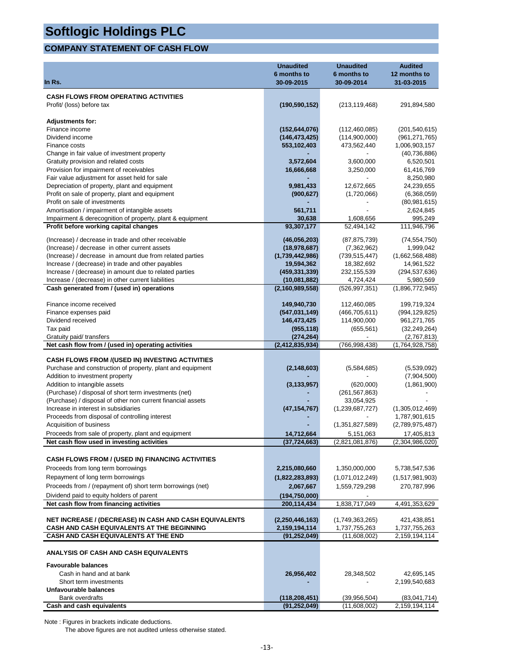### **COMPANY STATEMENT OF CASH FLOW**

|                                                                                 | <b>Unaudited</b>                 | <b>Unaudited</b>                 | <b>Audited</b>               |
|---------------------------------------------------------------------------------|----------------------------------|----------------------------------|------------------------------|
| In Rs.                                                                          | 6 months to<br>30-09-2015        | 6 months to<br>30-09-2014        | 12 months to<br>31-03-2015   |
|                                                                                 |                                  |                                  |                              |
| <b>CASH FLOWS FROM OPERATING ACTIVITIES</b>                                     |                                  |                                  |                              |
| Profit/ (loss) before tax                                                       | (190, 590, 152)                  | (213, 119, 468)                  | 291,894,580                  |
| <b>Adjustments for:</b>                                                         |                                  |                                  |                              |
| Finance income                                                                  | (152, 644, 076)                  | (112, 460, 085)                  | (201, 540, 615)              |
| Dividend income                                                                 | (146, 473, 425)                  | (114,900,000)                    | (961, 271, 765)              |
| Finance costs                                                                   | 553,102,403                      | 473,562,440                      | 1,006,903,157                |
| Change in fair value of investment property                                     |                                  |                                  | (40, 736, 886)               |
| Gratuity provision and related costs                                            | 3,572,604                        | 3,600,000                        | 6,520,501                    |
| Provision for impairment of receivables                                         | 16,666,668                       | 3,250,000                        | 61,416,769                   |
| Fair value adjustment for asset held for sale                                   |                                  |                                  | 8,250,980                    |
| Depreciation of property, plant and equipment                                   | 9,981,433                        | 12,672,665                       | 24,239,655                   |
| Profit on sale of property, plant and equipment                                 | (900, 627)                       | (1,720,066)                      | (6,368,059)                  |
| Profit on sale of investments<br>Amortisation / impairment of intangible assets | 561,711                          |                                  | (80, 981, 615)<br>2,624,845  |
| Impairment & derecognition of property, plant & equipment                       | 30,638                           | 1,608,656                        | 995,249                      |
| Profit before working capital changes                                           | 93,307,177                       | 52,494,142                       | 111,946,796                  |
| (Increase) / decrease in trade and other receivable                             |                                  | (87, 875, 739)                   | (74, 554, 750)               |
| (Increase) / decrease in other current assets                                   | (46,056,203)<br>(18, 978, 687)   | (7,362,962)                      | 1,999,042                    |
| (Increase) / decrease in amount due from related parties                        | (1,739,442,986)                  | (739, 515, 447)                  | (1,662,568,488)              |
| Increase / (decrease) in trade and other payables                               | 19,594,362                       | 18,382,692                       | 14,961,522                   |
| Increase / (decrease) in amount due to related parties                          | (459, 331, 339)                  | 232, 155, 539                    | (294, 537, 636)              |
| Increase / (decrease) in other current liabilities                              | (10,081,882)                     | 4,724,424                        | 5,980,569                    |
| Cash generated from / (used in) operations                                      | (2, 160, 989, 558)               | (526, 997, 351)                  | (1,896,772,945)              |
| Finance income received                                                         | 149,940,730                      | 112,460,085                      | 199,719,324                  |
| Finance expenses paid                                                           | (547, 031, 149)                  | (466, 705, 611)                  | (994, 129, 825)              |
| Dividend received                                                               | 146,473,425                      | 114,900,000                      | 961,271,765                  |
| Tax paid                                                                        | (955, 118)                       | (655, 561)                       | (32, 249, 264)               |
| Gratuity paid/ transfers                                                        | (274, 264)                       |                                  | (2,767,813)                  |
| Net cash flow from / (used in) operating activities                             | (2, 412, 835, 934)               | (766,998,438)                    | (1,764,928,758)              |
| <b>CASH FLOWS FROM /(USED IN) INVESTING ACTIVITIES</b>                          |                                  |                                  |                              |
| Purchase and construction of property, plant and equipment                      | (2, 148, 603)                    | (5,584,685)                      | (5,539,092)                  |
| Addition to investment property                                                 |                                  |                                  | (7,904,500)                  |
| Addition to intangible assets                                                   | (3, 133, 957)                    | (620,000)                        | (1,861,900)                  |
| (Purchase) / disposal of short term investments (net)                           |                                  | (261, 567, 863)                  |                              |
| (Purchase) / disposal of other non current financial assets                     |                                  | 33,054,925                       |                              |
| Increase in interest in subsidiaries                                            | (47, 154, 767)                   | (1,239,687,727)                  | (1,305,012,469)              |
| Proceeds from disposal of controlling interest                                  |                                  |                                  | 1,787,901,615                |
| Acquisition of business                                                         |                                  | (1,351,827,589)                  | (2,789,975,487)              |
| Proceeds from sale of property, plant and equipment                             | 14,712,664                       | 5,151,063                        | 17,405,813                   |
| Net cash flow used in investing activities                                      | (37, 724, 663)                   | (2,821,081,876)                  | (2,304,986,020)              |
| CASH FLOWS FROM / (USED IN) FINANCING ACTIVITIES                                |                                  |                                  |                              |
| Proceeds from long term borrowings                                              | 2,215,080,660                    | 1,350,000,000                    | 5,738,547,536                |
| Repayment of long term borrowings                                               | (1,822,283,893)                  | (1,071,012,249)                  | (1,517,981,903)              |
| Proceeds from / (repayment of) short term borrowings (net)                      | 2,067,667                        | 1,559,729,298                    | 270,787,996                  |
| Dividend paid to equity holders of parent                                       | (194, 750, 000)                  |                                  |                              |
| Net cash flow from financing activities                                         | 200,114,434                      | 1,838,717,049                    | 4,491,353,629                |
| NET INCREASE / (DECREASE) IN CASH AND CASH EQUIVALENTS                          |                                  |                                  |                              |
| CASH AND CASH EQUIVALENTS AT THE BEGINNING                                      | (2,250,446,163)<br>2,159,194,114 | (1,749,363,265)<br>1,737,755,263 | 421,438,851<br>1,737,755,263 |
| CASH AND CASH EQUIVALENTS AT THE END                                            | (91, 252, 049)                   | (11,608,002)                     | 2,159,194,114                |
| <b>ANALYSIS OF CASH AND CASH EQUIVALENTS</b>                                    |                                  |                                  |                              |
| <b>Favourable balances</b>                                                      |                                  |                                  |                              |
| Cash in hand and at bank                                                        | 26,956,402                       | 28,348,502                       | 42,695,145                   |
| Short term investments                                                          |                                  |                                  | 2,199,540,683                |
| Unfavourable balances                                                           |                                  |                                  |                              |
| Bank overdrafts                                                                 | (118,208,451)                    | (39,956,504)                     | (83,041,714)                 |
| Cash and cash equivalents                                                       | (91, 252, 049)                   | (11,608,002)                     | 2,159,194,114                |

Note : Figures in brackets indicate deductions.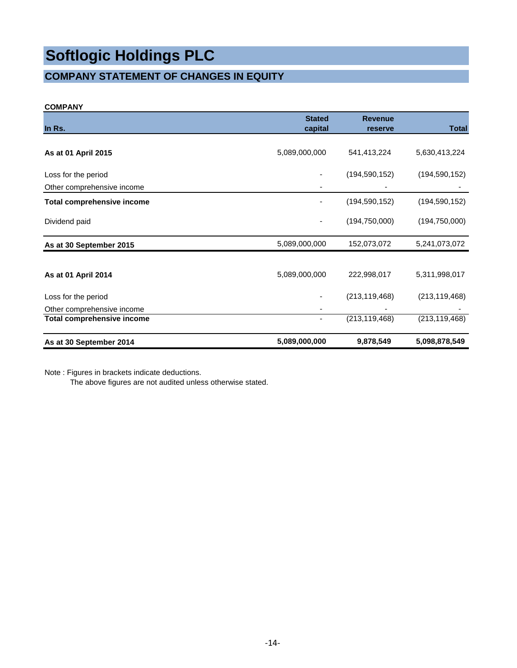### **COMPANY STATEMENT OF CHANGES IN EQUITY**

#### **COMPANY**

| In Rs.                            | <b>Stated</b><br>capital | <b>Revenue</b><br>reserve | <b>Total</b>    |
|-----------------------------------|--------------------------|---------------------------|-----------------|
|                                   |                          |                           |                 |
| As at 01 April 2015               | 5,089,000,000            | 541,413,224               | 5,630,413,224   |
| Loss for the period               |                          | (194, 590, 152)           | (194, 590, 152) |
| Other comprehensive income        |                          |                           |                 |
| <b>Total comprehensive income</b> |                          | (194, 590, 152)           | (194, 590, 152) |
| Dividend paid                     |                          | (194, 750, 000)           | (194, 750, 000) |
| As at 30 September 2015           | 5,089,000,000            | 152,073,072               | 5,241,073,072   |
|                                   |                          |                           |                 |
| As at 01 April 2014               | 5,089,000,000            | 222,998,017               | 5,311,998,017   |
| Loss for the period               |                          | (213, 119, 468)           | (213, 119, 468) |
| Other comprehensive income        |                          |                           |                 |
| <b>Total comprehensive income</b> |                          | (213, 119, 468)           | (213, 119, 468) |
| As at 30 September 2014           | 5,089,000,000            | 9,878,549                 | 5,098,878,549   |

Note : Figures in brackets indicate deductions.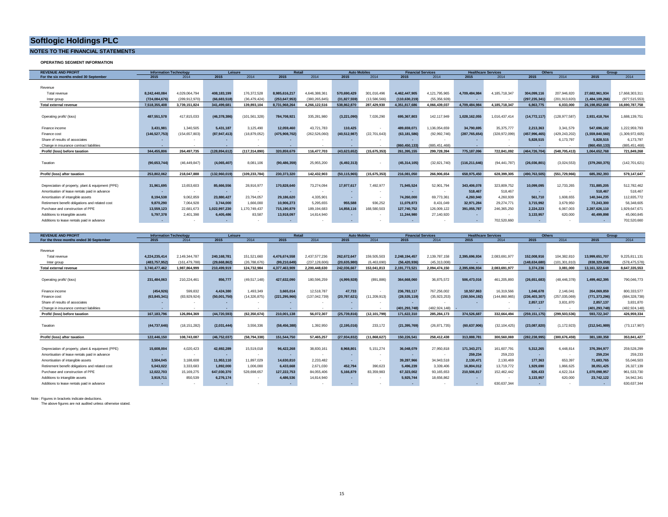#### **NOTES TO THE FINANCIAL STATEMENTS**

**OPERATING SEGMENT INFORMATION**

| <b>REVENUE AND PROFIT</b>                         | <b>Information Technology</b> |                          | Leisure        |                 | Retail         |               | <b>Auto Mobiles</b> |                |                          | <b>Financial Services</b> |                 | <b>Healthcare Services</b> | Others         |               | Group           |                 |
|---------------------------------------------------|-------------------------------|--------------------------|----------------|-----------------|----------------|---------------|---------------------|----------------|--------------------------|---------------------------|-----------------|----------------------------|----------------|---------------|-----------------|-----------------|
| For the six months ended 30 September             | 2015                          | 2014                     | 2015           | 2014            | 2015           | 2014          | 2015                | 2014           | 2015                     | 2014                      | 2015            | 2014                       | 2015           | 2014          | 2015            | 2014            |
|                                                   |                               |                          |                |                 |                |               |                     |                |                          |                           |                 |                            |                |               |                 |                 |
| Revenue                                           |                               |                          |                |                 |                |               |                     |                |                          |                           |                 |                            |                |               |                 |                 |
| Total revenue                                     | 8.242.440.084                 | 4.029.064.794            | 408.183.199    | 176.372.528     | 8.985.616.217  | 4.646.388.361 | 570.690.429         | 301.016.496    | 4.462.447.905            | 4.121.795.965             | 4.709.484.984   | 4.185.718.347              | 304.099.116    | 207.946.820   | 27.682.961.934  | 17.668.303.311  |
| Inter group                                       | (724.084.676                  | (289.912.970)            | (66.683.518)   | (36.479.424)    | (253.647.953)  | (380.265.845) | (31.827.559)        | (13.586.566)   | (110.630.219)            | (55.356.928)              |                 |                            | (297.235.341   | (201.913.820) | (1.484.109.266) | (977,515,553)   |
| Total external revenue                            | 7.518.355.408                 | 3.739.151.824            | 341,499,681    | 139.893.104     | 8.731.968.264  | 4.266.122.516 | 538.862.870         | 287.429.930    | 4,351,817,686            | 4.066.439.037             | 4.709.484.984   | 4.185.718.347              | 6.863.775      | 6.033.000     | 26,198,852,668  | 16,690,787,758  |
|                                                   |                               |                          |                |                 |                |               |                     |                |                          |                           |                 |                            |                |               |                 |                 |
| Operating profit/ (loss)                          | 487.551.578                   | 417,815,033              | (46, 378, 386) | (101, 561, 328) | 784.708.921    | 335,281,980   | (3,221,090)         | 7,026,290      | 695.367.803              | 142.117.949               | 1.028.162.055   | 1.016.437.414              | (14, 772, 117) | 128,977,587)  | 2.931.418.764   | 1,688,139,751   |
|                                                   |                               |                          |                |                 |                |               |                     |                |                          |                           |                 |                            |                |               |                 |                 |
| Finance income                                    | 3.431.981                     | 1.340.505                | 5.431.187      | 3.125.490       | 12.059.460     | 43.721.783    | 110.425             |                | 489.659.071              | .136.054.659              | 34.790.695      | 35.375.777                 | 2.213.363      | 3.341.579     | 547.696.182     | 1,222,959,793   |
| Finance cost                                      | (146.527.753)                 | 154.657.803)             | (87,947,413)   | (18.879.052)    | (475.908.702)  | (262.526.060) | (40, 512, 987)      | (22.701.643)   | (63.181.586)             | (92.992.746)              | (287.765.654)   | (328.972.099)              | (457.996.465)  | 429.243.202)  | (1.559.840.560) | (1,309,972,605) |
| Share of results of associates                    |                               |                          |                |                 |                |               |                     |                |                          |                           |                 |                            | 5.828.515      | 6.173.797     | 5.828.515       | 6,173,797       |
| Change in insurance contract liabilities          |                               |                          |                |                 |                |               |                     |                | (860, 450, 133)          | (885.451.468)             | $\sim$          |                            |                |               | (860, 450, 133) | (885, 451, 468) |
| Profit/ (loss) before taxation                    | 344,455,806                   | 264.497.735              | (128,894,612   | (117.314.890)   | 320.859.679    | 116.477.703   | (43, 623, 652)      | (15, 675, 353) | 261,395,155              | 299.728.394               | 775,187,096     | 722.841.092                | (464,726,704   | 548.705.413)  | 1.064.652.768   | 721.849.268     |
|                                                   |                               |                          |                |                 |                |               |                     |                |                          |                           |                 |                            |                |               |                 |                 |
| Taxation                                          | (90, 653, 744)                | (46,449,847)             | (4,065,407)    | 8.081.106       | (90, 486, 359) | 25,955,200    | (6, 492, 313)       |                | (45, 314, 105)           | (32, 821, 740)            | (116, 211, 646) | (94.441.787)               | (26,036,801)   | (3,024,553)   | (379, 260, 375) | (142, 701, 621) |
|                                                   |                               |                          |                |                 |                |               |                     |                |                          |                           |                 |                            |                |               |                 |                 |
| Profit/ (loss) after taxation                     | 253.802.062                   | 218.047.888              | (132,960,019   | (109.233.784)   | 230.373.320    | 142.432.903   | (50.115.965)        | (15.675.353)   | 216.081.050              | 266,906,654               | 658.975.450     | 628.399.305                | (490.763.505)  | (551.729.966) | 685.392.393     | 579.147.647     |
|                                                   |                               |                          |                |                 |                |               |                     |                |                          |                           |                 |                            |                |               |                 |                 |
| Depreciation of property, plant & equipment (PPE) | 31.961.695                    | 13,653,603               | 85.666.556     | 28.916.977      | 170.828.640    | 73.274.094    | 17.977.617          | 7.492.977      | 71,945,524               | 52.901.794                | 343,406,078     | 323,809.752                | 10.099.095     | 12.733.265    | 731.885.205     | 512,782,462     |
| Amortisation of lease rentals paid in advance     | $\sim$                        | $\overline{\phantom{a}}$ |                |                 |                |               |                     | $\sim$         | $\overline{\phantom{a}}$ |                           | 518,467         | 518,467                    |                | $\sim$        | 518,467         | 518,467         |
| Amortisation of intangible assets                 | 8.194.538                     | 9.062.859                | 23,880,427     | 23,794,057      | 29.186.620     | 4.335.901     |                     |                | 74.260.000               | 69.773.361                | 4.260.940       | 4.260.939                  | 561.710        | 1.608.655     | 140.344.235     | 112.835.772     |
| Retirement benefit obligations and related cost   | 9,870,290                     | 7.064.928                | 3.744.000      | 1.666.000       | 10.906.273     | 5.295.655     | 955,588             | 936.252        | 11.079.873               | 8,431,049                 | 32.971.284      | 29.274.771                 | 3.715.992      | 3.679.950     | 73,243,300      | 56,348,605      |
| Purchase and construction of PPE                  | 13.559.123                    | 22.681.673               | 1.022.997.230  | 1.170.749.437   | 715.190.879    | 189.194.683   | 14,858,116          | 168,580,503    | 127.740.752              | 126.009.122               | 391.055.787     | 246.365.250                | 2.224.223      | 6.067.003     | 2.287.626.110   | 1.929.647.671   |
| Additions to intangible assets                    | 5.797.378                     | 2.401.398                | 6.405.486      | 83.587          | 13,918,097     | 14.814.940    | ۰                   | $\sim$         | 11,244,980               | 27,140,920                | $\sim$          | $\overline{\phantom{a}}$   | 3.133.957      | 620,000       | 40.499.898      | 45,060,845      |
| Additions to lease rentals paid in advance        | $\sim$                        |                          |                |                 |                |               |                     |                | $\sim$                   |                           |                 | 702,520,660                |                |               |                 | 702,520,660     |

| <b>REVENUE AND PROFIT</b>                         |                          | <b>Information Technology</b> | Leisure                  |              |                | Retail          | <b>Auto Mobiles</b> |                | <b>Financial Services</b> |                | <b>Healthcare Services</b> |                 | <b>Others</b>   |               | Group           |                 |
|---------------------------------------------------|--------------------------|-------------------------------|--------------------------|--------------|----------------|-----------------|---------------------|----------------|---------------------------|----------------|----------------------------|-----------------|-----------------|---------------|-----------------|-----------------|
| For the three months ended 30 September           | 2015                     | 2014                          | 2015                     | 2014         | 2015           | 2014            | 2015                | 2014           | 2015                      | 2014           | 2015                       | 2014            | 2015            | 2014          | 2015            | 2014            |
|                                                   |                          |                               |                          |              |                |                 |                     |                |                           |                |                            |                 |                 |               |                 |                 |
| Revenue                                           |                          |                               |                          |              |                |                 |                     |                |                           |                |                            |                 |                 |               |                 |                 |
| Total revenue                                     | 4.224.235.414            | 149.344.787                   | 240.168.781              | 151.521.660  | 4.476.674.558  | 2.437.577.236   | 262.672.647         | 159,505,503    | 2.248.194.457             | 2.139.787.158  | 2.395.696.934              | 2.083.691.977   | 152.008.916     | 104.382.810   | 13.999.651.707  | 9.225.811.131   |
| Inter group                                       | (483,757,952)            | (161.479.788)                 | (29.668.862)             | (26.788.676) | (99.210.649)   | (237.128.606)   | (20.635.980         | (6.463.690)    | (56.420.936)              | (45.313.008)   |                            |                 | (148,634,680)   | 101.301.810)  | (838,329,059    | (578,475,578)   |
| Total external revenue                            | 3.740.477.462            | 1.987.864.999                 | 210.499.919              | 124.732.984  | 4.377.463.909  | 2.200.448.630   | 242.036.667         | 153.041.813    | 2.191.773.521             | 2.094.474.150  | 2.395.696.934              | 2.083.691.977   | 3.374.236       | 3.081.000     | 13.161.322.648  | 8.647.335.553   |
|                                                   |                          |                               |                          |              |                |                 |                     |                |                           |                |                            |                 |                 |               |                 |                 |
| Operating profit/ (loss)                          | 231.484.063              | 210.224.461                   | 856,777                  | (49.517.148) | 427.632.090    | 180,596,259     | (4.999.928          | (891.886)      | 364.668.060               | 36.875.572     | 506.473.016                | 461.205.893     | (26.651.683)    | (48.446.378)  | 1.499.462.395   | 790.046.773     |
|                                                   |                          |                               |                          |              |                |                 |                     |                |                           |                |                            |                 |                 |               |                 |                 |
| Finance income                                    | (454, 926)               | 599.832                       | 4.424.380                | 1.493.349    | 3.665.014      | 12,518,787      | 47.733              |                | 236.783.117               | 767.256.002    | 18.557.863                 | 16,319,566      | 1.046.678       | 2.146.041     | 264.069.859     | 800.333.577     |
| Finance cost                                      | (63, 845, 341)           | (83.929.924)                  | (50.001.750)             | (14.326.875) | (221.295.966)  | (137, 042, 739) | (20.787.621)        | (11, 209, 913) | (28,535,119               | (35, 923, 253) | (150, 504, 192)            | (144, 860, 965) | (236,403,307)   | (257.035.069) | (771, 373, 296) | (684, 328, 738) |
| Share of results of associates                    | ۰                        |                               |                          |              |                |                 |                     |                |                           |                | $\overline{\phantom{a}}$   |                 | 2,857,137       | 3.831.870     | 2.857.137       | 3,831,870       |
| Change in insurance contract liabilities          | $\overline{\phantom{a}}$ |                               |                          |              |                |                 |                     |                | (401.293.748              | (482.924.148)  |                            |                 |                 |               | (401.293.748)   | (482, 924, 148) |
| Profit/ (loss) before taxation                    | 167, 183, 796            | 126.894.369                   | (44, 720, 593)           | (62.350.674) | 210.001.138    | 56.072.307      | (25,739,816         | (12.101.799)   | 171.622.310               | 285.284.173    | 374.526.687                | 332.664.494     | (259, 151, 175) | (299.503.536) | 593.722.347     | 426,959,334     |
|                                                   |                          |                               |                          |              |                |                 |                     |                |                           |                |                            |                 |                 |               |                 |                 |
| Taxation                                          | (44,737,646              | (18, 151, 282)                | (2,031,444)              | 3,556,336    | (58, 456, 388) | 1,392,950       | (2, 195, 016)       | 233,172        | (21, 395, 769)            | (26, 871, 735) | (60, 637, 906)             | (32, 104, 425)  | (23,087,820)    | (1, 172, 923) | (212,541,989)   | (73, 117, 907)  |
|                                                   |                          |                               |                          |              |                |                 |                     |                |                           |                |                            |                 |                 |               |                 |                 |
| Profit/ (loss) after taxation                     | 122.446.150              | 108.743.087                   | (46.752.037)             | (58.794.338) | 151.544.750    | 57.465.257      | (27.934.832)        | (11.868.627)   | 150.226.541               | 258.412.438    | 313,888,781                | 300.560.069     | (282.238.995)   | (300.676.459) | 381.180.358     | 353.841.427     |
|                                                   |                          |                               |                          |              |                |                 |                     |                |                           |                |                            |                 |                 |               |                 |                 |
| Depreciation of property, plant & equipment (PPE) | 15,608,004               | 4,020,423                     | 42.692.289               | 15,519,018   | 96,422,268     | 38.830.161      | 8.968.801           | 5, 151, 274    | 36,048,079                | 27,950,818     | 171,343,271                | 161.607.791     | 5.312.265       | 6,448.814     | 376.394.977     | 259,528,299     |
| Amortisation of lease rentals paid in advance     | $\sim$                   | $\sim$                        |                          |              |                |                 |                     | $\sim$         |                           |                | 259,234                    | 259,233         | <b>COL</b>      |               | 259,234         | 259,233         |
| Amortisation of intangible assets                 | 3,504,045                | 3.188.608                     | 11.953.110               | 11.897.029   | 14.630.810     | 2.233.482       |                     |                | 39.287.966                | 34.943.518     | 2.130.471                  | 2.130.469       | 177.363         | 653.397       | 71.683.765      | 55,046,503      |
| Retirement benefit obligations and related cost   | 5.043.022                | 3.333.683                     | 1.892.000                | 1.006.000    | 6.433.668      | 2.671.030       | 452.794             | 390.623        | 5.496.239                 | 3.339.406      | 16.804.012                 | 13,719,772      | 1.929.690       | 1.866.625     | 38.051.425      | 26.327.139      |
| Purchase and construction of PPF                  | 12,022,703               | 15.169.275                    | 647.030.370              | 528.698.657  | 127.222.753    | 84.055.406      | 5.166.879           | 83.359.983     | 67.323.002                | 93,165,653     | 210.506.817                | 152.462.442     | 826,433         | 4.622.314     | 1.070.098.957   | 961,533,730     |
| Additions to intangible assets                    | 3.919.711                | 850.539                       | 6.276.174                |              | 4,486,536      | 14.814.940      |                     |                | 5.925.744                 | 18,656,862     | $\sim$                     |                 | 3.133.957       | 620,000       | 23.742.122      | 34,942,341      |
| Additions to lease rentals paid in advance        | . .                      |                               | $\overline{\phantom{a}}$ |              | ۰.             |                 |                     |                | . .                       |                | $\sim$                     | 630.637.344     | $\sim$          |               | $\sim$          | 630,637,344     |

Note : Figures in brackets indicate deductions.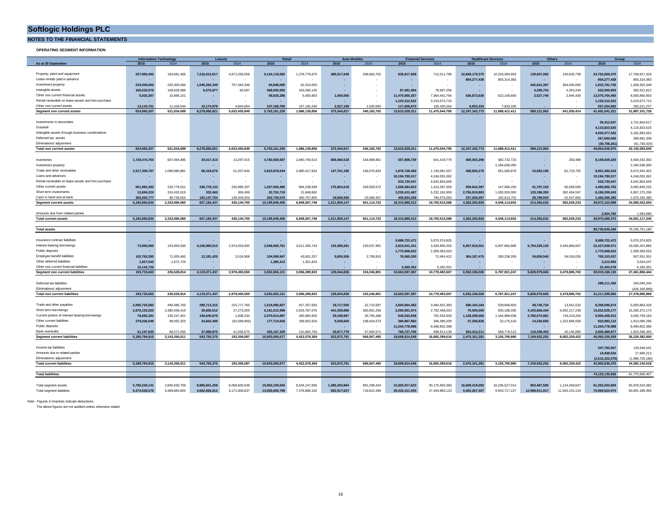**NOTES TO THE FINANCIAL STATEMENTS**

**OPERATING SEGMENT INFORMATION**

|                                                     | <b>Retail</b><br><b>Auto Mobile</b><br><b>Financial Services</b><br><b>Information Technology</b><br>Leisure |               |               | <b>Healthcare Services</b> |                | Others        |               | Group         |                |                |                |                |                |                |                 |                                 |
|-----------------------------------------------------|--------------------------------------------------------------------------------------------------------------|---------------|---------------|----------------------------|----------------|---------------|---------------|---------------|----------------|----------------|----------------|----------------|----------------|----------------|-----------------|---------------------------------|
| As at 30 September                                  | 2015                                                                                                         | 2014          | 2015          | 2014                       | 2015           | 2014          | 2015          | 2014          | 2015           | 2014           | 2015           | 2014           | 2015           | 2014           | 2015            | 2014                            |
|                                                     |                                                                                                              |               |               |                            |                |               |               |               |                |                |                |                |                |                |                 |                                 |
| Property, plant and equipment                       | 207,855,493                                                                                                  | 164,681,465   | 7.216.513.617 | 4,871,035,059              | 5.134.118.592  | 1,278,779,675 | 369.517.648   | 338,683,702   | 835.817.668    | 712,011,796    | 10.849.179.370 | 10,203,094,893 | 139.657.082    | 140,630,739    | 24.752.659.470  | 17,708,917,329                  |
| Lease rentals paid in advance                       |                                                                                                              |               |               |                            |                |               |               |               |                |                | 854,277,438    | 855,314,383    |                |                | 854,277,438     | 855,314,383                     |
| Investment property                                 | 233,000,000                                                                                                  | 225,300,000   | 1,045,292,349 | 757,492,349                | 94,848,000     | 81,510,000    | ٠             |               |                |                |                |                | 442,641,387    | 394,000,000    | 1,815,781,736   | 1,458,302,349                   |
| Intangible assets                                   | 165,532,676                                                                                                  | 109,628,589   | 6.675.877     | 83,587                     | 368.005.592    | 163,260,140   | ۰.            |               | 87.491.094     | 78,587,256     | $\sim$         |                | 4,295,754      | 4,353,240      | 632,000,993     | 355,912,812                     |
| Other non current financial assets                  |                                                                                                              |               |               |                            |                |               | 1.500.000     |               | 11.470.800.357 |                | 536.872.630    |                |                |                |                 |                                 |
|                                                     | 5,033,387                                                                                                    | 10,896,101    |               |                            | 59,020,286     | 5,405,803     |               |               |                | 7,364,442,764  |                | 622,169,800    | 2,527,740      | 2,946,435      | 12,075,754,400  | 8,005,860,903                   |
| Rental receivable on lease assets and hire purchase |                                                                                                              |               |               |                            |                |               |               |               | 1,103,312,522  | 3,219,572,715  |                |                |                |                | 1,103,312,522   | 3,219,572,715                   |
| Other non current assets                            | 13,143,751                                                                                                   | 11.428.544    | 10.174.978    | 4 844 854                  | 107,168,760    | 157.184.240   | 2,327,169     | 1.500.000     | 117,606,670    | 100,430,264    | 6.833.334      | 7833335        |                |                | 257,254,662     | 283,221,237                     |
| Segment non current assets                          | 624.565.307                                                                                                  | 521.934.699   | 8.278.656.821 | 5.633.455.849              | 5.763.161.230  | 1.686.139.858 | 373.344.817   | 340.183.702   | 13.615.028.311 | 11.475.044.795 | 12.247.162.772 | 11.688.412.411 | 589.121.963    | 541.930.414    | 41.491.041.221  | 31.887.101.728                  |
|                                                     |                                                                                                              |               |               |                            |                |               |               |               |                |                |                |                |                |                |                 |                                 |
| Investments in associates                           |                                                                                                              |               |               |                            |                |               |               |               |                |                |                |                |                |                | 29,412,637      | 2,731,844,617                   |
| Goodwill                                            |                                                                                                              |               |               |                            |                |               |               |               |                |                |                |                |                |                | 4,115,823,525   | 4,115,823,525                   |
| Intangible assets through business combinatinos     |                                                                                                              |               |               |                            |                |               |               |               |                |                |                |                |                |                | 4,000,377,342   | 3,182,863,052                   |
| Deferred tax assets                                 |                                                                                                              |               |               |                            |                |               |               |               |                |                |                |                |                |                | 267,600,506     | 289,681,338                     |
| Eliminations/ adjustment                            |                                                                                                              |               |               |                            |                |               |               |               |                |                |                |                |                |                | (39,708,261     | (61, 730, 420)                  |
| <b>Total non current assets</b>                     | 624,565,307                                                                                                  | 521.934.699   | 8.278.656.821 | 5.633.455.849              | 5.763.161.230  | 1.686.139.858 | 373,344,817   | 340.183.702   | 13,615,028,311 | 11,475,044,795 | 12.247.162.772 | 11.688.412.411 | 589,121,963    |                | 49.864.546.970  | 42.145.583.840                  |
|                                                     |                                                                                                              |               |               |                            |                |               |               |               |                |                |                |                |                |                |                 |                                 |
|                                                     |                                                                                                              |               |               |                            |                |               |               |               |                |                |                |                |                |                |                 |                                 |
| Inventories                                         | 1,728,474,764                                                                                                | 607.064.485   | 20.517.414    | 13,297,015                 | 4.782.659.587  | 2,840,745,014 | 669.466.518   | 164,889,861   | 557,808,739    | 641,419,779    | 400.002.298    | 382,732,723    |                | 283,486        | 8.158.929.320   | 4.650.432.363                   |
| Investment property                                 |                                                                                                              |               |               |                            |                |               |               |               |                |                |                | 2,184,636,000  |                |                |                 | 2,184,636,000                   |
| Trade and other receivables                         | 2,517,308,787                                                                                                | 1,088,980,881 | 66,418,676    | 51,207,845                 | 3.823.878.044  | 2,890,417,654 | 147.701.185   | 169.076.832   | 1.876.728.456  | 1,740,081,507  | 408.855.275    | 651,065,878    | 10.592.195     | 81,723,705     | 8.851.482.618   | 6,672,554,302                   |
| Loans and advances                                  |                                                                                                              |               |               |                            |                |               |               |               | 10.194.790.017 | 4,246,055,362  | $\sim$         |                |                |                | 10.194.790.017  | 4,246,055,362                   |
| Rental receivable on lease assets and hire purchase |                                                                                                              |               |               |                            |                |               |               |               | 533.730.547    | 4,642,803,659  |                |                |                |                | 533,730,547     | 4,642,803,659                   |
| Other current assets                                | 601,982,282                                                                                                  | 220,779,521   | 336,778,133   | 230,990,337                | 1,267,926,480  | 694,238,598   | 175,854,518   | 293,558,572   | 1,506,584,810  | 1,413,397,359  | 559.942.387    | 147,066,250    | 41,797,153     | 65,569,595     | 4,490,865,763   | 3,065,600,232                   |
| Short term investments                              | 12.694.224                                                                                                   | 310,432,619   | 332.460       | 306,499                    | 22.753.719     | 21,848,682    |               |               | 3.235.412.487  | 5,232,182,859  | 2.755.919.803  | 1.000.000.000  | 133.186.350    | 392.404.597    | 6.160.299.043   | 6,957,175,256                   |
| Cash in hand and at bank                            | 305.200.777                                                                                                  | 96.738.554    | 183.137.754   | 139.343.004                | 302.730.576    | 400.757.800   | 18.836.926    | 23,589.457    | 405.834.256    | 784.575.063    | 237.536.057    | 182.613.752    | 28,789,934     | 42.547.850     | 1.482.066.280   | 1.670.165.480                   |
| <b>Segment current assets</b>                       | 5,165,660,834                                                                                                | 2.323.996.060 | 607,184,437   | 435,144,700                | 10,199,948,406 | 6,848,007,748 | 1,011,859,147 | 651, 114, 722 | 18,310,889,312 | 18,700,515,588 | 4.362.255.820  | 4,548,114,603  | 214,365,632    | 582,529,233    | 39,872,163,588  | 34,089,422,654                  |
|                                                     |                                                                                                              |               |               |                            |                |               |               |               |                |                |                |                |                |                |                 |                                 |
|                                                     |                                                                                                              |               |               |                            |                |               |               |               |                |                |                |                |                |                |                 |                                 |
| Amounts due from related parties                    |                                                                                                              |               |               |                            |                |               |               |               |                |                |                |                |                |                | 2.924.782       | 1.694.686                       |
| <b>Total current assets</b>                         | 5.165.660.834                                                                                                | 2.323.996.060 | 607.184.437   | 435.144.700                | 10.199.948.406 | 6.848.007.748 | 1.011.859.147 | 651.114.722   | 18,310,889,312 | 18,700,515,588 | 4.362.255.820  | 4.548.114.603  | 214.365.632    | 582.529.233    | 39.875.088.370  | 34.091.117.340                  |
|                                                     |                                                                                                              |               |               |                            |                |               |               |               |                |                |                |                |                |                |                 |                                 |
| <b>Total assets</b>                                 |                                                                                                              |               |               |                            |                |               |               |               |                |                |                |                |                |                | 89,739,635,340  | 76,236,701,180                  |
|                                                     |                                                                                                              |               |               |                            |                |               |               |               |                |                |                |                |                |                |                 |                                 |
| Insurance contract liabilities                      |                                                                                                              |               |               |                            |                |               |               |               | 5.989.722.472  | 5.070.374.825  |                |                |                |                | 5.989.722.472   | 5.070.374.825                   |
| Interest bearing borrowings                         | 73,000,000                                                                                                   | 153,850,630   | 4,106,890,012 | 2,974,933,592              | 2,946,669,761  | 3,011,336,743 | 123.389.281   | 150,537,991   | 2,815,641,341  | 3,320,990,355  | 6,567,918,551  | 6,507,682,888  | 5,794,329,125  | 3,445,869,667  | 22,427,838,071  | 19,565,201,866                  |
| Public deposits                                     |                                                                                                              |               |               |                            |                |               |               |               | 1,775,908,022  | 2,309,393,553  |                |                |                |                | 1,775,908,022   | 2,309,393,553                   |
| Employee benefit liabilities                        | 102.763.395                                                                                                  | 71.005.460    | 12.181.425    | 3.516.958                  | 104,599,947    | 43.601.257    | 5.655.555     | 2,708,810     | 76.065.200     | 72,464,422     | 364, 187, 475  | 280.238.359    | 34,650,540     | 34.016.035     | 700.103.537     | 507,551,301                     |
| Other deferred liabilities                          | 1.827.542                                                                                                    | 1,672,724     |               |                            | 1.385.413      | 1.351.823     |               |               |                |                |                |                |                |                | 3.212.955       | 3,024,547                       |
| Other non current financial liabilities             | 16.142.726                                                                                                   |               |               |                            |                |               |               |               | 6.260.352      | 6.260.352      |                |                |                |                | 22.403.078      | 6.260.352                       |
| Segment non current liabilities                     | 193,733,663                                                                                                  | 226,528,814   | 4,119,071,437 | 2,978,450,550              | 3,052,655,121  | 3,056,289,823 | 129.044.836   | 153.246.801   | 10,663,597,387 | 10,779,483,507 | 6,932,106,026  | 6,787,921,247  | 5.828.979.665  | 3,479,885,702  | 30,919,188,135  | 27,461,806,444                  |
|                                                     |                                                                                                              |               |               |                            |                |               |               |               |                |                |                |                |                |                |                 |                                 |
| Deferred tax liabilities                            |                                                                                                              |               |               |                            |                |               |               |               |                |                |                |                |                |                | 298.111.430     | 343.040.344                     |
| Fliminations/ adjustment                            |                                                                                                              |               |               |                            |                |               |               |               |                |                |                |                |                |                |                 |                                 |
|                                                     | 193,733,663                                                                                                  | 226,528,814   | 4,119,071,437 | 2,978,450,550              | 3,052,655,121  | 3,056,289,823 | 129,044,836   | 153,246,801   | 10,663,597,387 | 10,779,483,507 | 6,932,106,026  | 6,787,921,247  | 5,828,979,665  | 3,479,885,702  |                 | (426,160,899)<br>27,378,685,889 |
| <b>Total non current liabilities</b>                |                                                                                                              |               |               |                            |                |               |               |               |                |                |                |                |                |                | 31,217,299,565  |                                 |
|                                                     |                                                                                                              |               |               |                            |                |               |               |               |                |                |                |                |                |                |                 |                                 |
| Trade and other payables                            | 2.095.725.582                                                                                                | 490.485.763   | 290.713.315   | 215,777,765                | 1.619.095.827  | 917.257.693   | 18,717,550    | 22.710.597    | 3.604.904.482  | 3.494.501.393  | 680.194.184    | 539,668,683    | 48.745.734     | 13,561,532     | 8.358.096.674   | 5.693.963.426                   |
| Short term borrowings                               | 2,676,153,263                                                                                                | 2,380,458,419 | 30.655.012    | 27,273,303                 | 6,181,012,998  | 2.816.787.076 | 441.039.896   | 350,991,256   | 2.060.001.574  | 2,792,458,553  | 70,000,000     | 830.186.330    | 4.193.666.434  | 6.062.217.236  | 15.652.529.177  | 15,260,372,173                  |
| Current portion of interest bearing borrowings      | 78,692,391                                                                                                   | 105,247,451   | 169,645,679   | 1,838,244                  | 2,070,014,897  | 280,965,925   | 29.198.967    | 26,765,468    | 645,533,938    | 702,533,933    | 1,128,298,060  | 1,184,988,938  | 2,785,074,981  | 743,419,205    | 6,906,458,913   | 3,045,759,164                   |
| Other current liabilities                           | 279,026,049                                                                                                  | 99,092,323    | 24,842,499    | (92, 589, 800)             | 177,714,626    | 196,602,916   | 5,038,600     | 108,434,573   | 384,867,860    | 346,390,209    | 37,256,826     | 32,175,516     | 14,236,650     | 1,222,984,559  | 922,983,110     | 1,913,090,296                   |
| Public deposits                                     |                                                                                                              |               |               |                            |                |               |               |               | 11,204,778,988 | 8,490,602,398  |                |                |                |                | 11,204,778,988  | 8,490,602,398                   |
| <b>Bank overdrafts</b>                              | 51,197,630                                                                                                   | 68,072,055    | 27,898,870    | 41,056,575                 | 455, 167, 329  | 210,964,759   | 29,877,778    | 57.665.571    | 768,727,706    | 838,913,130    | 554,412,211    | 568,776,513    | 118,208,453    | 40,146,890     | 2,005,489,977   | 1,825,595,493                   |
| <b>Segment current liabilities</b>                  | 5,180,794,915                                                                                                | 3,143,356,011 | 543,755,375   | 193,356,087                | 10,503,005,677 | 4,422,578,369 | 523,872,791   | 566,567,465   | 18,668,814,548 | 16,665,399,616 | 2,470,161,281  | 3,155,795,980  | 7,159,932,252  | 8,082,329,422  | 45,050,336,839  | 36,229,382,950                  |
|                                                     |                                                                                                              |               |               |                            |                |               |               |               |                |                |                |                |                |                |                 |                                 |
| Income tax liabilities                              |                                                                                                              |               |               |                            |                |               |               |               |                |                |                |                |                |                | 347,783,067     | 133,546,541                     |
|                                                     |                                                                                                              |               |               |                            |                |               |               |               |                |                |                |                |                |                | 14,938,534      |                                 |
| Amounts due to related parties                      |                                                                                                              |               |               |                            |                |               |               |               |                |                |                |                |                |                |                 | 17,940,213                      |
| Eliminations/ adjustment                            |                                                                                                              |               |               |                            |                |               |               |               |                |                |                |                |                |                | (2.510.222.070) | (1.988,725,186                  |
| <b>Total current liabilities</b>                    | 5,180,794,915                                                                                                | 3,143,356,011 | 543,755,375   | 193,356,087                | 10,503,005,677 | 4,422,578,369 | 523,872,791   | 566,567,465   | 18,668,814,548 | 16,665,399,616 | 2,470,161,281  | 3,155,795,980  | 7,159,932,252  | 8,082,329,422  | 42,902,836,370  | 34,392,144,518                  |
|                                                     |                                                                                                              |               |               |                            |                |               |               |               |                |                |                |                |                |                |                 |                                 |
| <b>Total liabilities</b>                            |                                                                                                              |               |               |                            |                |               |               |               |                |                |                |                |                |                | 74,120,135,935  | 61,770,830,407                  |
|                                                     |                                                                                                              |               |               |                            |                |               |               |               |                |                |                |                |                |                |                 |                                 |
| Total segment assets                                | 5,790,226,141                                                                                                | 2,845,930,759 | 8,885,841,258 | 6,068,600,549              | 15,963,109,636 | 8,534,147,606 | 1,385,203,964 | 991,298,424   | 31,925,917,623 | 30,175,560,383 | 16,609,418,592 | 16,236,527,014 | 803,487,595    | 1,124,459,647  | 81,363,204,809  | 65,976,524,382                  |
| <b>Total segment liabilities</b>                    | 5,374,528,578                                                                                                | 3,369,884,825 | 4,662,826,812 | 3,171,806,637              | 13,555,660,798 | 7,478,868,192 | 652,917,627   | 719,814,266   | 29,332,411,935 | 27,444,883,123 | 9,402,267,307  | 9,943,717,227  | 12,988,911,917 | 11,562,215,124 | 75,969,524,974  | 63,691,189,394                  |
|                                                     |                                                                                                              |               |               |                            |                |               |               |               |                |                |                |                |                |                |                 |                                 |

Note : Figures in brackets indicate deductions. The above figures are not audited unless otherwise stated.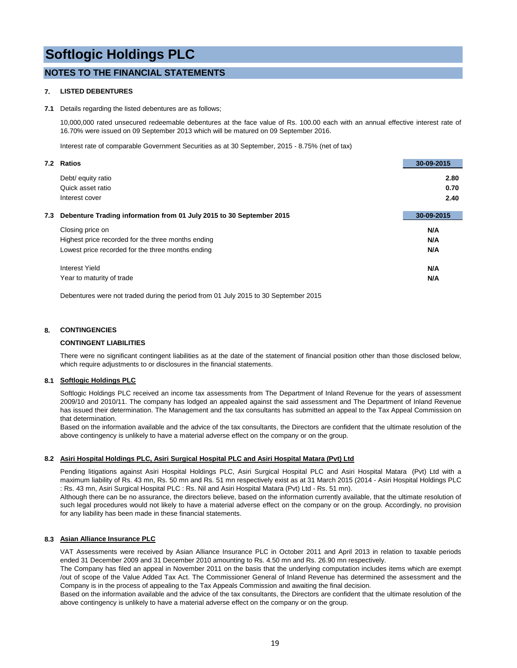#### **NOTES TO THE FINANCIAL STATEMENTS**

#### **7. LISTED DEBENTURES**

#### **7.1** Details regarding the listed debentures are as follows;

10,000,000 rated unsecured redeemable debentures at the face value of Rs. 100.00 each with an annual effective interest rate of 16.70% were issued on 09 September 2013 which will be matured on 09 September 2016.

Interest rate of comparable Government Securities as at 30 September, 2015 - 8.75% (net of tax)

| <b>Ratios</b><br>7.2                                                        | 30-09-2015 |
|-----------------------------------------------------------------------------|------------|
| Debt/ equity ratio                                                          | 2.80       |
| Quick asset ratio                                                           | 0.70       |
| Interest cover                                                              | 2.40       |
| Debenture Trading information from 01 July 2015 to 30 September 2015<br>7.3 | 30-09-2015 |
| Closing price on                                                            | N/A        |
| Highest price recorded for the three months ending                          | N/A        |
| Lowest price recorded for the three months ending                           | N/A        |
| Interest Yield                                                              | N/A        |
| Year to maturity of trade                                                   | N/A        |

Debentures were not traded during the period from 01 July 2015 to 30 September 2015

#### **8. CONTINGENCIES**

#### **CONTINGENT LIABILITIES**

There were no significant contingent liabilities as at the date of the statement of financial position other than those disclosed below, which require adjustments to or disclosures in the financial statements.

#### **8.1 Softlogic Holdings PLC**

Softlogic Holdings PLC received an income tax assessments from The Department of Inland Revenue for the years of assessment 2009/10 and 2010/11. The company has lodged an appealed against the said assessment and The Department of Inland Revenue has issued their determination. The Management and the tax consultants has submitted an appeal to the Tax Appeal Commission on that determination.

Based on the information available and the advice of the tax consultants, the Directors are confident that the ultimate resolution of the above contingency is unlikely to have a material adverse effect on the company or on the group.

#### **8.2 Asiri Hospital Holdings PLC, Asiri Surgical Hospital PLC and Asiri Hospital Matara (Pvt) Ltd**

Pending litigations against Asiri Hospital Holdings PLC, Asiri Surgical Hospital PLC and Asiri Hospital Matara (Pvt) Ltd with a maximum liability of Rs. 43 mn, Rs. 50 mn and Rs. 51 mn respectively exist as at 31 March 2015 (2014 - Asiri Hospital Holdings PLC : Rs. 43 mn, Asiri Surgical Hospital PLC : Rs. Nil and Asiri Hospital Matara (Pvt) Ltd - Rs. 51 mn).

Although there can be no assurance, the directors believe, based on the information currently available, that the ultimate resolution of such legal procedures would not likely to have a material adverse effect on the company or on the group. Accordingly, no provision for any liability has been made in these financial statements.

#### **8.3 Asian Alliance Insurance PLC**

VAT Assessments were received by Asian Alliance Insurance PLC in October 2011 and April 2013 in relation to taxable periods ended 31 December 2009 and 31 December 2010 amounting to Rs. 4.50 mn and Rs. 26.90 mn respectively.

The Company has filed an appeal in November 2011 on the basis that the underlying computation includes items which are exempt /out of scope of the Value Added Tax Act. The Commissioner General of Inland Revenue has determined the assessment and the Company is in the process of appealing to the Tax Appeals Commission and awaiting the final decision.

Based on the information available and the advice of the tax consultants, the Directors are confident that the ultimate resolution of the above contingency is unlikely to have a material adverse effect on the company or on the group.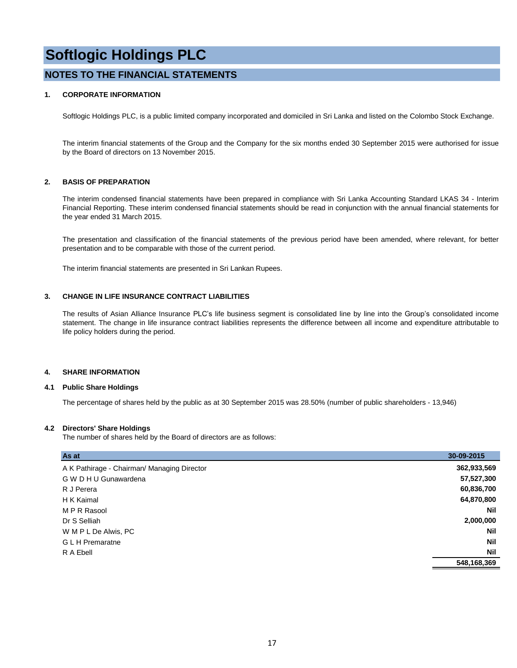#### **NOTES TO THE FINANCIAL STATEMENTS**

#### **1. CORPORATE INFORMATION**

Softlogic Holdings PLC, is a public limited company incorporated and domiciled in Sri Lanka and listed on the Colombo Stock Exchange.

The interim financial statements of the Group and the Company for the six months ended 30 September 2015 were authorised for issue by the Board of directors on 13 November 2015.

#### **2. BASIS OF PREPARATION**

The interim condensed financial statements have been prepared in compliance with Sri Lanka Accounting Standard LKAS 34 - Interim Financial Reporting. These interim condensed financial statements should be read in conjunction with the annual financial statements for the year ended 31 March 2015.

The presentation and classification of the financial statements of the previous period have been amended, where relevant, for better presentation and to be comparable with those of the current period.

The interim financial statements are presented in Sri Lankan Rupees.

#### **3. CHANGE IN LIFE INSURANCE CONTRACT LIABILITIES**

The results of Asian Alliance Insurance PLC's life business segment is consolidated line by line into the Group's consolidated income statement. The change in life insurance contract liabilities represents the difference between all income and expenditure attributable to life policy holders during the period.

#### **4. SHARE INFORMATION**

#### **4.1 Public Share Holdings**

The percentage of shares held by the public as at 30 September 2015 was 28.50% (number of public shareholders - 13,946)

#### **4.2 Directors' Share Holdings**

The number of shares held by the Board of directors are as follows:

| As at                                       | 30-09-2015  |
|---------------------------------------------|-------------|
| A K Pathirage - Chairman/ Managing Director | 362,933,569 |
| G W D H U Gunawardena                       | 57,527,300  |
| R J Perera                                  | 60,836,700  |
| H K Kaimal                                  | 64,870,800  |
| M P R Rasool                                | Nil         |
| Dr S Selliah                                | 2,000,000   |
| W M P L De Alwis, PC                        | Nil         |
| <b>GLH</b> Premaratne                       | <b>Nil</b>  |
| R A Ebell                                   | <b>Nil</b>  |
|                                             | 548,168,369 |
|                                             |             |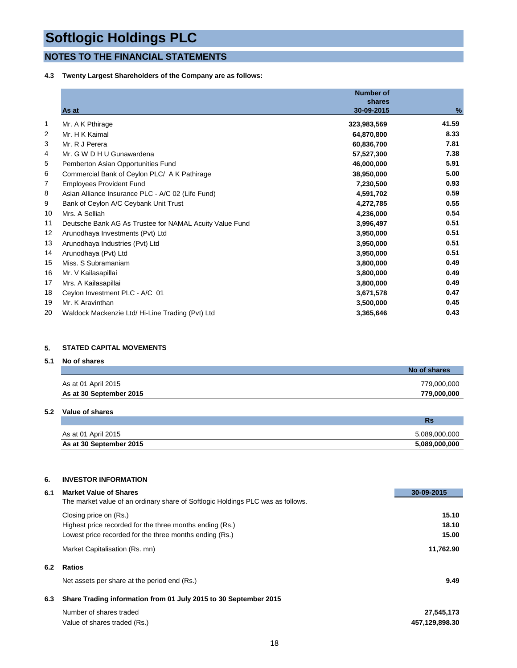#### **NOTES TO THE FINANCIAL STATEMENTS**

#### **4.3 Twenty Largest Shareholders of the Company are as follows:**

|    |                                                         | <b>Number of</b> |       |
|----|---------------------------------------------------------|------------------|-------|
|    |                                                         | shares           |       |
|    | As at                                                   | 30-09-2015       | %     |
| 1  | Mr. A K Pthirage                                        | 323,983,569      | 41.59 |
| 2  | Mr. H K Kaimal                                          | 64,870,800       | 8.33  |
| 3  | Mr. R J Perera                                          | 60,836,700       | 7.81  |
| 4  | Mr. G W D H U Gunawardena                               | 57,527,300       | 7.38  |
| 5  | Pemberton Asian Opportunities Fund                      | 46,000,000       | 5.91  |
| 6  | Commercial Bank of Ceylon PLC/ A K Pathirage            | 38,950,000       | 5.00  |
| 7  | <b>Employees Provident Fund</b>                         | 7,230,500        | 0.93  |
| 8  | Asian Alliance Insurance PLC - A/C 02 (Life Fund)       | 4,591,702        | 0.59  |
| 9  | Bank of Ceylon A/C Ceybank Unit Trust                   | 4,272,785        | 0.55  |
| 10 | Mrs. A Selliah                                          | 4,236,000        | 0.54  |
| 11 | Deutsche Bank AG As Trustee for NAMAL Acuity Value Fund | 3,996,497        | 0.51  |
| 12 | Arunodhaya Investments (Pvt) Ltd                        | 3,950,000        | 0.51  |
| 13 | Arunodhaya Industries (Pvt) Ltd                         | 3,950,000        | 0.51  |
| 14 | Arunodhaya (Pvt) Ltd                                    | 3,950,000        | 0.51  |
| 15 | Miss. S Subramaniam                                     | 3,800,000        | 0.49  |
| 16 | Mr. V Kailasapillai                                     | 3,800,000        | 0.49  |
| 17 | Mrs. A Kailasapillai                                    | 3,800,000        | 0.49  |
| 18 | Ceylon Investment PLC - A/C 01                          | 3,671,578        | 0.47  |
| 19 | Mr. K Aravinthan                                        | 3,500,000        | 0.45  |
| 20 | Waldock Mackenzie Ltd/ Hi-Line Trading (Pvt) Ltd        | 3,365,646        | 0.43  |

#### **5. STATED CAPITAL MOVEMENTS**

#### **5.1 No of shares**

|                         | No of shares |
|-------------------------|--------------|
| As at 01 April 2015     | 779,000,000  |
| As at 30 September 2015 | 779,000,000  |

#### **5.2 Value of shares**

|                         | NS            |
|-------------------------|---------------|
| As at 01 April 2015     | 5,089,000,000 |
| As at 30 September 2015 | 5,089,000,000 |

#### **6. INVESTOR INFORMATION**

| 6.1 | <b>Market Value of Shares</b>                                                   | 30-09-2015     |
|-----|---------------------------------------------------------------------------------|----------------|
|     | The market value of an ordinary share of Softlogic Holdings PLC was as follows. |                |
|     | Closing price on (Rs.)                                                          | 15.10          |
|     | Highest price recorded for the three months ending (Rs.)                        | 18.10          |
|     | Lowest price recorded for the three months ending (Rs.)                         | 15.00          |
|     | Market Capitalisation (Rs. mn)                                                  | 11,762.90      |
| 6.2 | <b>Ratios</b>                                                                   |                |
|     | Net assets per share at the period end (Rs.)                                    | 9.49           |
| 6.3 | Share Trading information from 01 July 2015 to 30 September 2015                |                |
|     | Number of shares traded                                                         | 27,545,173     |
|     | Value of shares traded (Rs.)                                                    | 457,129,898.30 |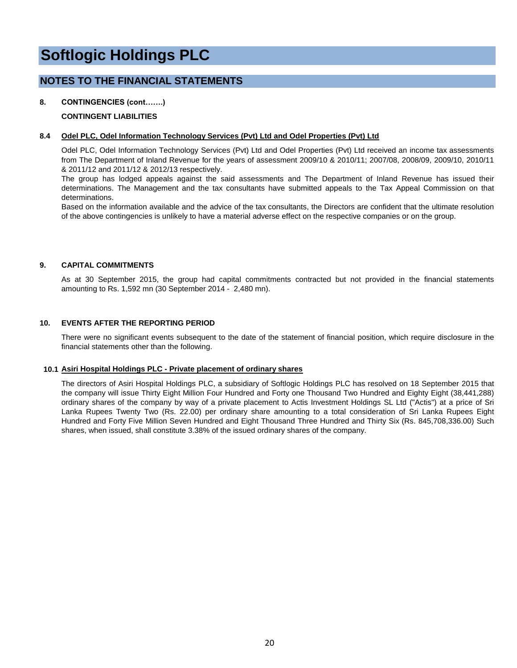#### **NOTES TO THE FINANCIAL STATEMENTS**

#### **8. CONTINGENCIES (cont…….)**

#### **CONTINGENT LIABILITIES**

#### **8.4 Odel PLC, Odel Information Technology Services (Pvt) Ltd and Odel Properties (Pvt) Ltd**

Odel PLC, Odel Information Technology Services (Pvt) Ltd and Odel Properties (Pvt) Ltd received an income tax assessments from The Department of Inland Revenue for the years of assessment 2009/10 & 2010/11; 2007/08, 2008/09, 2009/10, 2010/11 & 2011/12 and 2011/12 & 2012/13 respectively.

The group has lodged appeals against the said assessments and The Department of Inland Revenue has issued their determinations. The Management and the tax consultants have submitted appeals to the Tax Appeal Commission on that determinations.

Based on the information available and the advice of the tax consultants, the Directors are confident that the ultimate resolution of the above contingencies is unlikely to have a material adverse effect on the respective companies or on the group.

#### **9. CAPITAL COMMITMENTS**

As at 30 September 2015, the group had capital commitments contracted but not provided in the financial statements amounting to Rs. 1,592 mn (30 September 2014 - 2,480 mn).

#### **10. EVENTS AFTER THE REPORTING PERIOD**

There were no significant events subsequent to the date of the statement of financial position, which require disclosure in the financial statements other than the following.

#### **10.1 Asiri Hospital Holdings PLC - Private placement of ordinary shares**

The directors of Asiri Hospital Holdings PLC, a subsidiary of Softlogic Holdings PLC has resolved on 18 September 2015 that the company will issue Thirty Eight Million Four Hundred and Forty one Thousand Two Hundred and Eighty Eight (38,441,288) ordinary shares of the company by way of a private placement to Actis Investment Holdings SL Ltd ("Actis") at a price of Sri Lanka Rupees Twenty Two (Rs. 22.00) per ordinary share amounting to a total consideration of Sri Lanka Rupees Eight Hundred and Forty Five Million Seven Hundred and Eight Thousand Three Hundred and Thirty Six (Rs. 845,708,336.00) Such shares, when issued, shall constitute 3.38% of the issued ordinary shares of the company.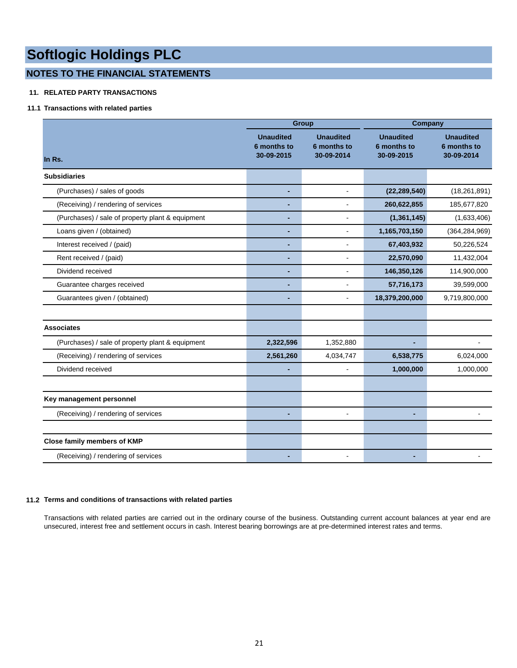#### **NOTES TO THE FINANCIAL STATEMENTS**

#### **11. RELATED PARTY TRANSACTIONS**

#### **11.1 Transactions with related parties**

|                                                  |                                               | <b>Group</b>                                  | Company                                       |                                               |  |
|--------------------------------------------------|-----------------------------------------------|-----------------------------------------------|-----------------------------------------------|-----------------------------------------------|--|
| In Rs.                                           | <b>Unaudited</b><br>6 months to<br>30-09-2015 | <b>Unaudited</b><br>6 months to<br>30-09-2014 | <b>Unaudited</b><br>6 months to<br>30-09-2015 | <b>Unaudited</b><br>6 months to<br>30-09-2014 |  |
| <b>Subsidiaries</b>                              |                                               |                                               |                                               |                                               |  |
| (Purchases) / sales of goods                     |                                               | $\blacksquare$                                | (22, 289, 540)                                | (18, 261, 891)                                |  |
| (Receiving) / rendering of services              | ä,                                            | $\sim$                                        | 260,622,855                                   | 185,677,820                                   |  |
| (Purchases) / sale of property plant & equipment |                                               |                                               | (1, 361, 145)                                 | (1,633,406)                                   |  |
| Loans given / (obtained)                         | ٠                                             | $\overline{a}$                                | 1,165,703,150                                 | (364, 284, 969)                               |  |
| Interest received / (paid)                       |                                               | $\overline{a}$                                | 67,403,932                                    | 50,226,524                                    |  |
| Rent received / (paid)                           | ٠                                             | $\blacksquare$                                | 22,570,090                                    | 11,432,004                                    |  |
| Dividend received                                |                                               |                                               | 146,350,126                                   | 114,900,000                                   |  |
| Guarantee charges received                       | ٠                                             |                                               | 57,716,173                                    | 39,599,000                                    |  |
| Guarantees given / (obtained)                    |                                               |                                               | 18,379,200,000                                | 9,719,800,000                                 |  |
|                                                  |                                               |                                               |                                               |                                               |  |
| <b>Associates</b>                                |                                               |                                               |                                               |                                               |  |
| (Purchases) / sale of property plant & equipment | 2,322,596                                     | 1,352,880                                     |                                               |                                               |  |
| (Receiving) / rendering of services              | 2,561,260                                     | 4,034,747                                     | 6,538,775                                     | 6,024,000                                     |  |
| Dividend received                                |                                               | $\blacksquare$                                | 1,000,000                                     | 1,000,000                                     |  |
|                                                  |                                               |                                               |                                               |                                               |  |
| Key management personnel                         |                                               |                                               |                                               |                                               |  |
| (Receiving) / rendering of services              | ٠                                             |                                               |                                               |                                               |  |
|                                                  |                                               |                                               |                                               |                                               |  |
| Close family members of KMP                      |                                               |                                               |                                               |                                               |  |
| (Receiving) / rendering of services              |                                               |                                               |                                               |                                               |  |

#### **11.2 Terms and conditions of transactions with related parties**

Transactions with related parties are carried out in the ordinary course of the business. Outstanding current account balances at year end are unsecured, interest free and settlement occurs in cash. Interest bearing borrowings are at pre-determined interest rates and terms.